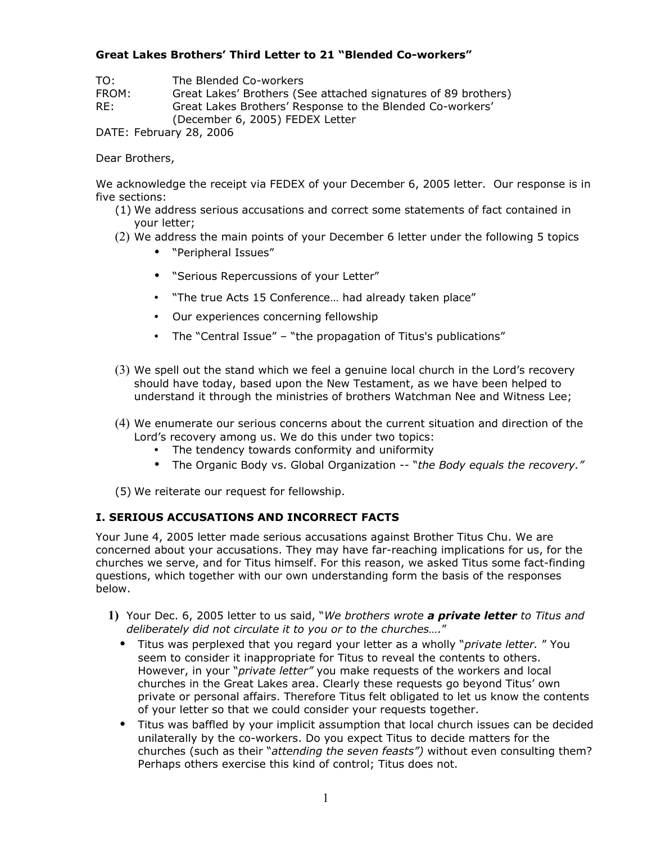## **Great Lakes Brothers' Third Letter to 21 "Blended Co-workers"**

TO: The Blended Co-workers

FROM: Great Lakes' Brothers (See attached signatures of 89 brothers)<br>RE: Great Lakes Brothers' Response to the Blended Co-workers' Great Lakes Brothers' Response to the Blended Co-workers'

(December 6, 2005) FEDEX Letter

DATE: February 28, 2006

Dear Brothers,

We acknowledge the receipt via FEDEX of your December 6, 2005 letter. Our response is in five sections:

- (1) We address serious accusations and correct some statements of fact contained in your letter;
- (2) We address the main points of your December 6 letter under the following 5 topics
	- "Peripheral Issues"
	- "Serious Repercussions of your Letter"
	- "The true Acts 15 Conference… had already taken place"
	- Our experiences concerning fellowship
	- The "Central Issue" "the propagation of Titus's publications"
- (3) We spell out the stand which we feel a genuine local church in the Lord's recovery should have today, based upon the New Testament, as we have been helped to understand it through the ministries of brothers Watchman Nee and Witness Lee;
- (4) We enumerate our serious concerns about the current situation and direction of the Lord's recovery among us. We do this under two topics:
	- The tendency towards conformity and uniformity
	- The Organic Body vs. Global Organization -- "*the Body equals the recovery."*

(5) We reiterate our request for fellowship.

# **I. SERIOUS ACCUSATIONS AND INCORRECT FACTS**

Your June 4, 2005 letter made serious accusations against Brother Titus Chu. We are concerned about your accusations. They may have far-reaching implications for us, for the churches we serve, and for Titus himself. For this reason, we asked Titus some fact-finding questions, which together with our own understanding form the basis of the responses below.

- **1)** Your Dec. 6, 2005 letter to us said, "*We brothers wrote a private letter to Titus and deliberately did not circulate it to you or to the churches….*"
	- Titus was perplexed that you regard your letter as a wholly "*private letter.* " You seem to consider it inappropriate for Titus to reveal the contents to others. However, in your "*private letter"* you make requests of the workers and local churches in the Great Lakes area. Clearly these requests go beyond Titus' own private or personal affairs. Therefore Titus felt obligated to let us know the contents of your letter so that we could consider your requests together.
	- Titus was baffled by your implicit assumption that local church issues can be decided unilaterally by the co-workers. Do you expect Titus to decide matters for the churches (such as their "*attending the seven feasts")* without even consulting them? Perhaps others exercise this kind of control; Titus does not.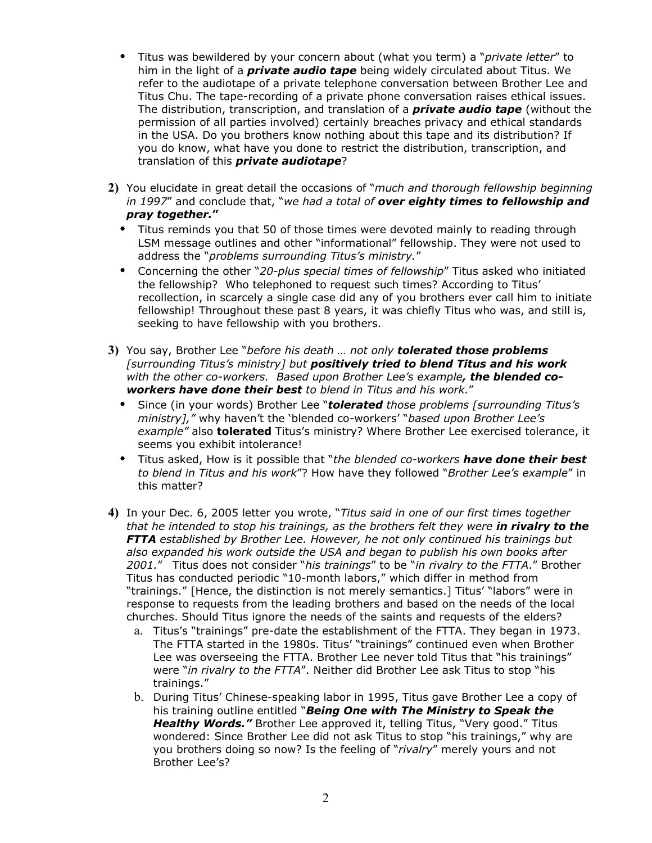- Titus was bewildered by your concern about (what you term) a "*private letter*" to him in the light of a *private audio tape* being widely circulated about Titus. We refer to the audiotape of a private telephone conversation between Brother Lee and Titus Chu. The tape-recording of a private phone conversation raises ethical issues. The distribution, transcription, and translation of a *private audio tape* (without the permission of all parties involved) certainly breaches privacy and ethical standards in the USA. Do you brothers know nothing about this tape and its distribution? If you do know, what have you done to restrict the distribution, transcription, and translation of this *private audiotape*?
- **2)** You elucidate in great detail the occasions of "*much and thorough fellowship beginning in 1997*" and conclude that, "*we had a total of over eighty times to fellowship and pray together.***"**
	- Titus reminds you that 50 of those times were devoted mainly to reading through LSM message outlines and other "informational" fellowship. They were not used to address the "*problems surrounding Titus's ministry.*"
	- Concerning the other "*20-plus special times of fellowship*" Titus asked who initiated the fellowship? Who telephoned to request such times? According to Titus' recollection, in scarcely a single case did any of you brothers ever call him to initiate fellowship! Throughout these past 8 years, it was chiefly Titus who was, and still is, seeking to have fellowship with you brothers.
- **3)** You say, Brother Lee "*before his death … not only tolerated those problems [surrounding Titus's ministry] but positively tried to blend Titus and his work with the other co-workers. Based upon Brother Lee's example, the blended coworkers have done their best to blend in Titus and his work.*"
	- Since (in your words) Brother Lee "*tolerated those problems [surrounding Titus's ministry],"* why haven't the 'blended co-workers' "*based upon Brother Lee's example"* also **tolerated** Titus's ministry? Where Brother Lee exercised tolerance, it seems you exhibit intolerance!
	- Titus asked, How is it possible that "*the blended co-workers have done their best to blend in Titus and his work*"? How have they followed "*Brother Lee's example*" in this matter?
- **4)** In your Dec. 6, 2005 letter you wrote, "*Titus said in one of our first times together that he intended to stop his trainings, as the brothers felt they were in rivalry to the FTTA established by Brother Lee. However, he not only continued his trainings but also expanded his work outside the USA and began to publish his own books after 2001.*" Titus does not consider "*his trainings*" to be "*in rivalry to the FTTA*." Brother Titus has conducted periodic "10-month labors," which differ in method from "trainings." [Hence, the distinction is not merely semantics.] Titus' "labors" were in response to requests from the leading brothers and based on the needs of the local churches. Should Titus ignore the needs of the saints and requests of the elders?
	- a. Titus's "trainings" pre-date the establishment of the FTTA. They began in 1973. The FTTA started in the 1980s. Titus' "trainings" continued even when Brother Lee was overseeing the FTTA. Brother Lee never told Titus that "his trainings" were "*in rivalry to the FTTA*". Neither did Brother Lee ask Titus to stop "his trainings."
	- b. During Titus' Chinese-speaking labor in 1995, Titus gave Brother Lee a copy of his training outline entitled "*Being One with The Ministry to Speak the Healthy Words."* Brother Lee approved it, telling Titus, "Very good." Titus wondered: Since Brother Lee did not ask Titus to stop "his trainings," why are you brothers doing so now? Is the feeling of "*rivalry*" merely yours and not Brother Lee's?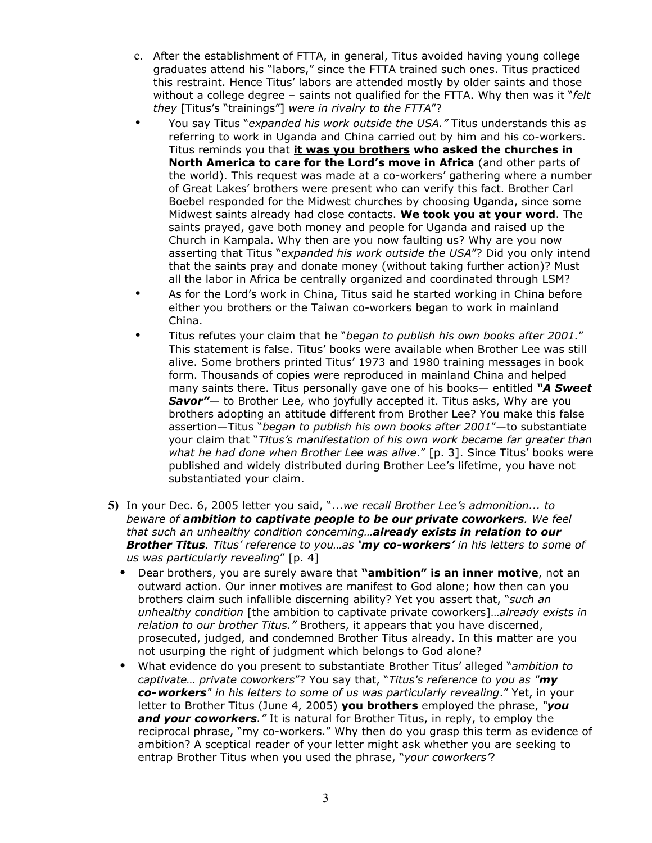- c. After the establishment of FTTA, in general, Titus avoided having young college graduates attend his "labors," since the FTTA trained such ones. Titus practiced this restraint. Hence Titus' labors are attended mostly by older saints and those without a college degree – saints not qualified for the FTTA. Why then was it "*felt they* [Titus's "trainings"] *were in rivalry to the FTTA*"?
- You say Titus "*expanded his work outside the USA."* Titus understands this as referring to work in Uganda and China carried out by him and his co-workers. Titus reminds you that **it was you brothers who asked the churches in North America to care for the Lord's move in Africa** (and other parts of the world). This request was made at a co-workers' gathering where a number of Great Lakes' brothers were present who can verify this fact. Brother Carl Boebel responded for the Midwest churches by choosing Uganda, since some Midwest saints already had close contacts. **We took you at your word**. The saints prayed, gave both money and people for Uganda and raised up the Church in Kampala. Why then are you now faulting us? Why are you now asserting that Titus "*expanded his work outside the USA*"? Did you only intend that the saints pray and donate money (without taking further action)? Must all the labor in Africa be centrally organized and coordinated through LSM?
- As for the Lord's work in China, Titus said he started working in China before either you brothers or the Taiwan co-workers began to work in mainland China.
- Titus refutes your claim that he "*began to publish his own books after 2001.*" This statement is false. Titus' books were available when Brother Lee was still alive. Some brothers printed Titus' 1973 and 1980 training messages in book form. Thousands of copies were reproduced in mainland China and helped many saints there. Titus personally gave one of his books— entitled *"A Sweet Savor"*— to Brother Lee, who joyfully accepted it. Titus asks, Why are you brothers adopting an attitude different from Brother Lee? You make this false assertion—Titus "*began to publish his own books after 2001*"—to substantiate your claim that "*Titus's manifestation of his own work became far greater than what he had done when Brother Lee was alive*." [p. 3]. Since Titus' books were published and widely distributed during Brother Lee's lifetime, you have not substantiated your claim.
- **5)** In your Dec. 6, 2005 letter you said, "...*we recall Brother Lee's admonition... to beware of ambition to captivate people to be our private coworkers. We feel that such an unhealthy condition concerning…already exists in relation to our Brother Titus. Titus' reference to you…as 'my co-workers' in his letters to some of us was particularly revealing*" [p. 4]
	- Dear brothers, you are surely aware that **"ambition" is an inner motive**, not an outward action. Our inner motives are manifest to God alone; how then can you brothers claim such infallible discerning ability? Yet you assert that, "*such an unhealthy condition* [the ambition to captivate private coworkers]…*already exists in relation to our brother Titus."* Brothers, it appears that you have discerned, prosecuted, judged, and condemned Brother Titus already. In this matter are you not usurping the right of judgment which belongs to God alone?
	- What evidence do you present to substantiate Brother Titus' alleged "*ambition to captivate… private coworkers*"? You say that, "*Titus's reference to you as "my co-workers" in his letters to some of us was particularly revealing*." Yet, in your letter to Brother Titus (June 4, 2005) **you brothers** employed the phrase, *"you and your coworkers."* It is natural for Brother Titus, in reply, to employ the reciprocal phrase, "my co-workers." Why then do you grasp this term as evidence of ambition? A sceptical reader of your letter might ask whether you are seeking to entrap Brother Titus when you used the phrase, "*your coworkers'*?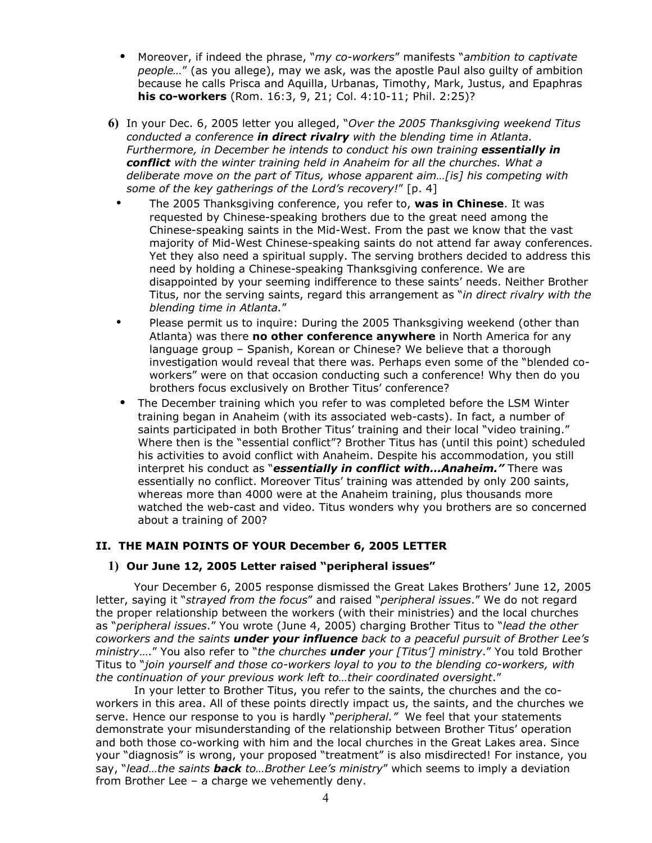- Moreover, if indeed the phrase, "*my co-workers*" manifests "*ambition to captivate people…*" (as you allege), may we ask, was the apostle Paul also guilty of ambition because he calls Prisca and Aquilla, Urbanas, Timothy, Mark, Justus, and Epaphras **his co-workers** (Rom. 16:3, 9, 21; Col. 4:10-11; Phil. 2:25)?
- **6)** In your Dec. 6, 2005 letter you alleged, "*Over the 2005 Thanksgiving weekend Titus conducted a conference in direct rivalry with the blending time in Atlanta. Furthermore, in December he intends to conduct his own training essentially in conflict with the winter training held in Anaheim for all the churches. What a deliberate move on the part of Titus, whose apparent aim…[is] his competing with some of the key gatherings of the Lord's recovery!*" [p. 4]
- The 2005 Thanksgiving conference, you refer to, **was in Chinese**. It was requested by Chinese-speaking brothers due to the great need among the Chinese-speaking saints in the Mid-West. From the past we know that the vast majority of Mid-West Chinese-speaking saints do not attend far away conferences. Yet they also need a spiritual supply. The serving brothers decided to address this need by holding a Chinese-speaking Thanksgiving conference. We are disappointed by your seeming indifference to these saints' needs. Neither Brother Titus, nor the serving saints, regard this arrangement as "*in direct rivalry with the blending time in Atlanta.*"
- Please permit us to inquire: During the 2005 Thanksgiving weekend (other than Atlanta) was there **no other conference anywhere** in North America for any language group – Spanish, Korean or Chinese? We believe that a thorough investigation would reveal that there was. Perhaps even some of the "blended coworkers" were on that occasion conducting such a conference! Why then do you brothers focus exclusively on Brother Titus' conference?
- The December training which you refer to was completed before the LSM Winter training began in Anaheim (with its associated web-casts). In fact, a number of saints participated in both Brother Titus' training and their local "video training." Where then is the "essential conflict"? Brother Titus has (until this point) scheduled his activities to avoid conflict with Anaheim. Despite his accommodation, you still interpret his conduct as "*essentially in conflict with…Anaheim."* There was essentially no conflict. Moreover Titus' training was attended by only 200 saints, whereas more than 4000 were at the Anaheim training, plus thousands more watched the web-cast and video. Titus wonders why you brothers are so concerned about a training of 200?

### **II. THE MAIN POINTS OF YOUR December 6, 2005 LETTER**

#### **1) Our June 12, 2005 Letter raised "peripheral issues"**

Your December 6, 2005 response dismissed the Great Lakes Brothers' June 12, 2005 letter, saying it "*strayed from the focus*" and raised "*peripheral issues*." We do not regard the proper relationship between the workers (with their ministries) and the local churches as "*peripheral issues*." You wrote (June 4, 2005) charging Brother Titus to "*lead the other coworkers and the saints under your influence back to a peaceful pursuit of Brother Lee's ministry*…." You also refer to "*the churches under your [Titus'] ministry*." You told Brother Titus to "*join yourself and those co-workers loyal to you to the blending co-workers, with the continuation of your previous work left to…their coordinated oversight*."

In your letter to Brother Titus, you refer to the saints, the churches and the coworkers in this area. All of these points directly impact us, the saints, and the churches we serve. Hence our response to you is hardly "*peripheral."* We feel that your statements demonstrate your misunderstanding of the relationship between Brother Titus' operation and both those co-working with him and the local churches in the Great Lakes area. Since your "diagnosis" is wrong, your proposed "treatment" is also misdirected! For instance, you say, "*lead…the saints back to…Brother Lee's ministry*" which seems to imply a deviation from Brother Lee – a charge we vehemently deny.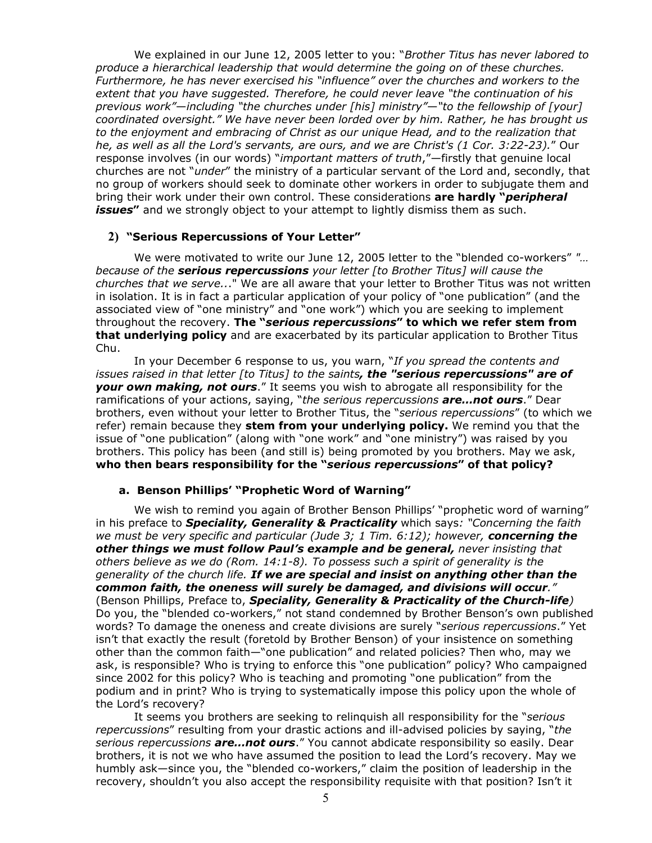We explained in our June 12, 2005 letter to you: "*Brother Titus has never labored to produce a hierarchical leadership that would determine the going on of these churches. Furthermore, he has never exercised his "influence" over the churches and workers to the extent that you have suggested. Therefore, he could never leave "the continuation of his previous work"*—*including "the churches under [his] ministry"*—*"to the fellowship of [your] coordinated oversight." We have never been lorded over by him. Rather, he has brought us to the enjoyment and embracing of Christ as our unique Head, and to the realization that he, as well as all the Lord's servants, are ours, and we are Christ's (1 Cor. 3:22-23).*" Our response involves (in our words) "*important matters of truth*,"—firstly that genuine local churches are not "*under*" the ministry of a particular servant of the Lord and, secondly, that no group of workers should seek to dominate other workers in order to subjugate them and bring their work under their own control. These considerations **are hardly "***peripheral issues***"** and we strongly object to your attempt to lightly dismiss them as such.

### **2) "Serious Repercussions of Your Letter"**

We were motivated to write our June 12, 2005 letter to the "blended co-workers" *"… because of the serious repercussions your letter [to Brother Titus] will cause the churches that we serve..*." We are all aware that your letter to Brother Titus was not written in isolation. It is in fact a particular application of your policy of "one publication" (and the associated view of "one ministry" and "one work") which you are seeking to implement throughout the recovery. **The "***serious repercussions***" to which we refer stem from that underlying policy** and are exacerbated by its particular application to Brother Titus Chu.

In your December 6 response to us, you warn, "*If you spread the contents and issues raised in that letter [to Titus] to the saints, the "serious repercussions" are of your own making, not ours*." It seems you wish to abrogate all responsibility for the ramifications of your actions, saying, "*the serious repercussions are…not ours*." Dear brothers, even without your letter to Brother Titus, the "*serious repercussions*" (to which we refer) remain because they **stem from your underlying policy.** We remind you that the issue of "one publication" (along with "one work" and "one ministry") was raised by you brothers. This policy has been (and still is) being promoted by you brothers. May we ask, **who then bears responsibility for the "***serious repercussions***" of that policy?**

### **a. Benson Phillips' "Prophetic Word of Warning"**

We wish to remind you again of Brother Benson Phillips' "prophetic word of warning" in his preface to *Speciality, Generality & Practicality* which says*: "Concerning the faith we must be very specific and particular (Jude 3; 1 Tim. 6:12); however, concerning the other things we must follow Paul's example and be general, never insisting that others believe as we do (Rom. 14:1-8). To possess such a spirit of generality is the generality of the church life. If we are special and insist on anything other than the common faith, the oneness will surely be damaged, and divisions will occur."* (Benson Phillips, Preface to, *Speciality, Generality & Practicality of the Church-life)* Do you, the "blended co-workers," not stand condemned by Brother Benson's own published words? To damage the oneness and create divisions are surely "*serious repercussions*." Yet isn't that exactly the result (foretold by Brother Benson) of your insistence on something other than the common faith—"one publication" and related policies? Then who, may we ask, is responsible? Who is trying to enforce this "one publication" policy? Who campaigned since 2002 for this policy? Who is teaching and promoting "one publication" from the podium and in print? Who is trying to systematically impose this policy upon the whole of the Lord's recovery?

It seems you brothers are seeking to relinquish all responsibility for the "*serious repercussions*" resulting from your drastic actions and ill-advised policies by saying, "*the serious repercussions are…not ours*." You cannot abdicate responsibility so easily. Dear brothers, it is not we who have assumed the position to lead the Lord's recovery. May we humbly ask—since you, the "blended co-workers," claim the position of leadership in the recovery, shouldn't you also accept the responsibility requisite with that position? Isn't it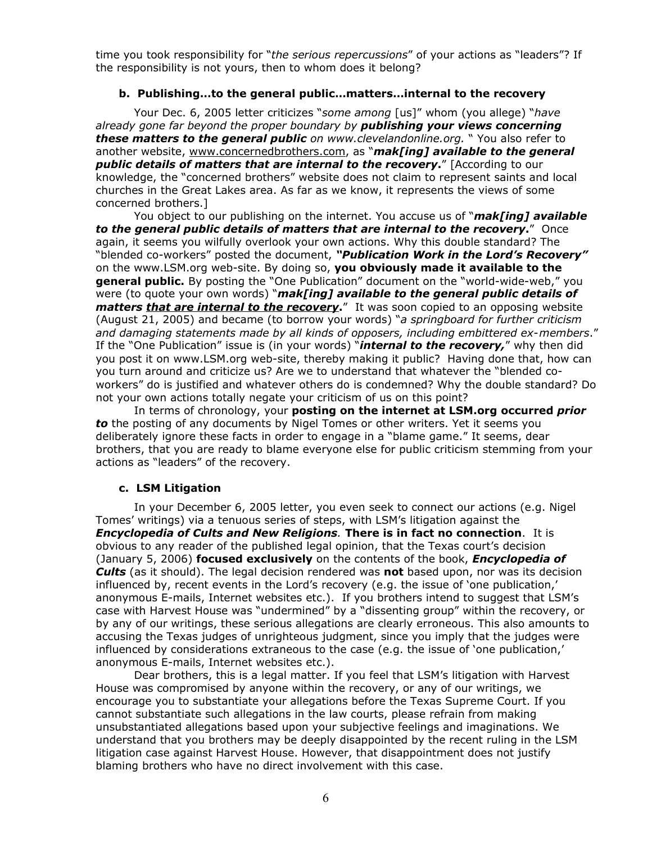time you took responsibility for "*the serious repercussions*" of your actions as "leaders"? If the responsibility is not yours, then to whom does it belong?

### **b. Publishing…to the general public…matters…internal to the recovery**

Your Dec. 6, 2005 letter criticizes "*some among* [us]" whom (you allege) "*have already gone far beyond the proper boundary by publishing your views concerning these matters to the general public on www.clevelandonline.org.* " You also refer to another website, [www.concernedbrothers.com](http://www.concernedbrothers.com/), as "*mak[ing] available to the general public details of matters that are internal to the recovery***.**" [According to our knowledge, the "concerned brothers" website does not claim to represent saints and local churches in the Great Lakes area. As far as we know, it represents the views of some concerned brothers.]

You object to our publishing on the internet. You accuse us of "*mak[ing] available to the general public details of matters that are internal to the recovery***.**" Once again, it seems you wilfully overlook your own actions. Why this double standard? The "blended co-workers" posted the document, *"Publication Work in the Lord's Recovery"* on the www.LSM.org web-site. By doing so, **you obviously made it available to the general public.** By posting the "One Publication" document on the "world-wide-web," you were (to quote your own words) "*mak[ing] available to the general public details of matters that are internal to the recovery***.**" It was soon copied to an opposing website (August 21, 2005) and became (to borrow your words) "*a springboard for further criticism and damaging statements made by all kinds of opposers, including embittered ex-members*." If the "One Publication" issue is (in your words) "*internal to the recovery,*" why then did you post it on www.LSM.org web-site, thereby making it public? Having done that, how can you turn around and criticize us? Are we to understand that whatever the "blended coworkers" do is justified and whatever others do is condemned? Why the double standard? Do not your own actions totally negate your criticism of us on this point?

In terms of chronology, your **posting on the internet at LSM.org occurred** *prior to* the posting of any documents by Nigel Tomes or other writers. Yet it seems you deliberately ignore these facts in order to engage in a "blame game." It seems, dear brothers, that you are ready to blame everyone else for public criticism stemming from your actions as "leaders" of the recovery.

#### **c. LSM Litigation**

In your December 6, 2005 letter, you even seek to connect our actions (e.g. Nigel Tomes' writings) via a tenuous series of steps, with LSM's litigation against the *Encyclopedia of Cults and New Religions.* **There is in fact no connection**. It is obvious to any reader of the published legal opinion, that the Texas court's decision (January 5, 2006) **focused exclusively** on the contents of the book, *Encyclopedia of Cults* (as it should). The legal decision rendered was **not** based upon, nor was its decision influenced by, recent events in the Lord's recovery (e.g. the issue of 'one publication,' anonymous E-mails, Internet websites etc.). If you brothers intend to suggest that LSM's case with Harvest House was "undermined" by a "dissenting group" within the recovery, or by any of our writings, these serious allegations are clearly erroneous. This also amounts to accusing the Texas judges of unrighteous judgment, since you imply that the judges were influenced by considerations extraneous to the case (e.g. the issue of 'one publication,' anonymous E-mails, Internet websites etc.).

Dear brothers, this is a legal matter. If you feel that LSM's litigation with Harvest House was compromised by anyone within the recovery, or any of our writings, we encourage you to substantiate your allegations before the Texas Supreme Court. If you cannot substantiate such allegations in the law courts, please refrain from making unsubstantiated allegations based upon your subjective feelings and imaginations. We understand that you brothers may be deeply disappointed by the recent ruling in the LSM litigation case against Harvest House. However, that disappointment does not justify blaming brothers who have no direct involvement with this case.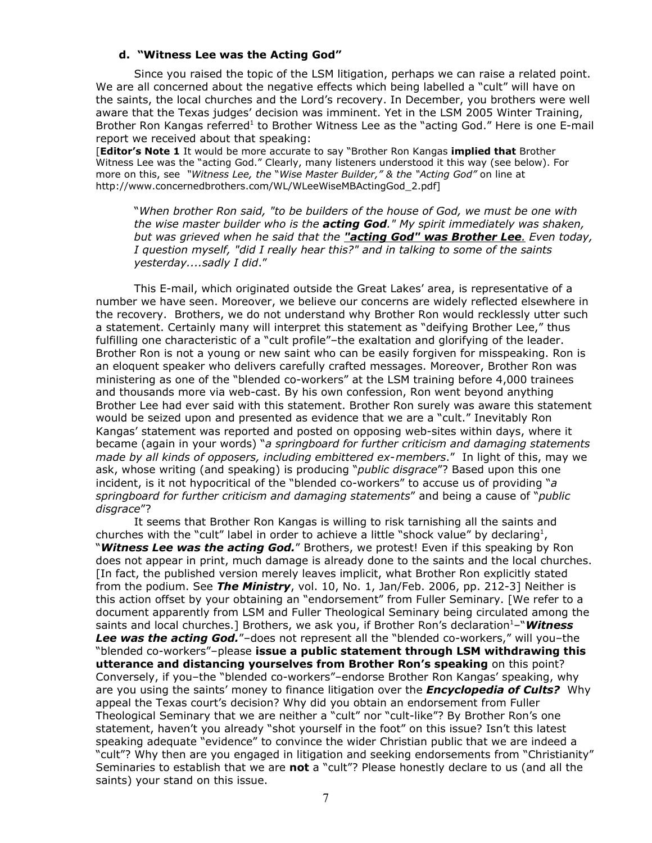#### **d. "Witness Lee was the Acting God"**

Since you raised the topic of the LSM litigation, perhaps we can raise a related point. We are all concerned about the negative effects which being labelled a "cult" will have on the saints, the local churches and the Lord's recovery. In December, you brothers were well aware that the Texas judges' decision was imminent. Yet in the LSM 2005 Winter Training, Brother Ron Kangas referred<sup>1</sup> to Brother Witness Lee as the "acting God." Here is one E-mail report we received about that speaking:

[**Editor's Note 1** It would be more accurate to say "Brother Ron Kangas **implied that** Brother Witness Lee was the "acting God." Clearly, many listeners understood it this way (see below). For more on this, see *"Witness Lee, the* "*Wise Master Builder," & the "Acting God"* on line at http://www.concernedbrothers.com/WL/WLeeWiseMBActingGod\_2.pdf]

"*When brother Ron said, "to be builders of the house of God, we must be one with the wise master builder who is the acting God." My spirit immediately was shaken, but was grieved when he said that the " a cting God" was Brother Lee. Even today, I question myself, "did I really hear this?" and in talking to some of the saints yesterday....sadly I did*."

This E-mail, which originated outside the Great Lakes' area, is representative of a number we have seen. Moreover, we believe our concerns are widely reflected elsewhere in the recovery. Brothers, we do not understand why Brother Ron would recklessly utter such a statement. Certainly many will interpret this statement as "deifying Brother Lee," thus fulfilling one characteristic of a "cult profile"–the exaltation and glorifying of the leader. Brother Ron is not a young or new saint who can be easily forgiven for misspeaking. Ron is an eloquent speaker who delivers carefully crafted messages. Moreover, Brother Ron was ministering as one of the "blended co-workers" at the LSM training before 4,000 trainees and thousands more via web-cast. By his own confession, Ron went beyond anything Brother Lee had ever said with this statement. Brother Ron surely was aware this statement would be seized upon and presented as evidence that we are a "cult." Inevitably Ron Kangas' statement was reported and posted on opposing web-sites within days, where it became (again in your words) "*a springboard for further criticism and damaging statements made by all kinds of opposers, including embittered ex-members*." In light of this, may we ask, whose writing (and speaking) is producing "*public disgrace*"? Based upon this one incident, is it not hypocritical of the "blended co-workers" to accuse us of providing "*a springboard for further criticism and damaging statements*" and being a cause of "*public disgrace*"?

It seems that Brother Ron Kangas is willing to risk tarnishing all the saints and churches with the "cult" label in order to achieve a little "shock value" by declaring<sup>1</sup>, "*Witness Lee was the acting God.*" Brothers, we protest! Even if this speaking by Ron does not appear in print, much damage is already done to the saints and the local churches. [In fact, the published version merely leaves implicit, what Brother Ron explicitly stated from the podium. See *The Ministry*, vol. 10, No. 1, Jan/Feb. 2006, pp. 212-3] Neither is this action offset by your obtaining an "endorsement" from Fuller Seminary. [We refer to a document apparently from LSM and Fuller Theological Seminary being circulated among the saints and local churches.] Brothers, we ask you, if Brother Ron's declaration <sup>1</sup>–"*Witness Lee was the acting God.*"–does not represent all the "blended co-workers," will you–the "blended co-workers"–please **issue a public statement through LSM withdrawing this utterance and distancing yourselves from Brother Ron's speaking** on this point? Conversely, if you–the "blended co-workers"–endorse Brother Ron Kangas' speaking, why are you using the saints' money to finance litigation over the *Encyclopedia of Cults?* Why appeal the Texas court's decision? Why did you obtain an endorsement from Fuller Theological Seminary that we are neither a "cult" nor "cult-like"? By Brother Ron's one statement, haven't you already "shot yourself in the foot" on this issue? Isn't this latest speaking adequate "evidence" to convince the wider Christian public that we are indeed a "cult"? Why then are you engaged in litigation and seeking endorsements from "Christianity" Seminaries to establish that we are **not** a "cult"? Please honestly declare to us (and all the saints) your stand on this issue.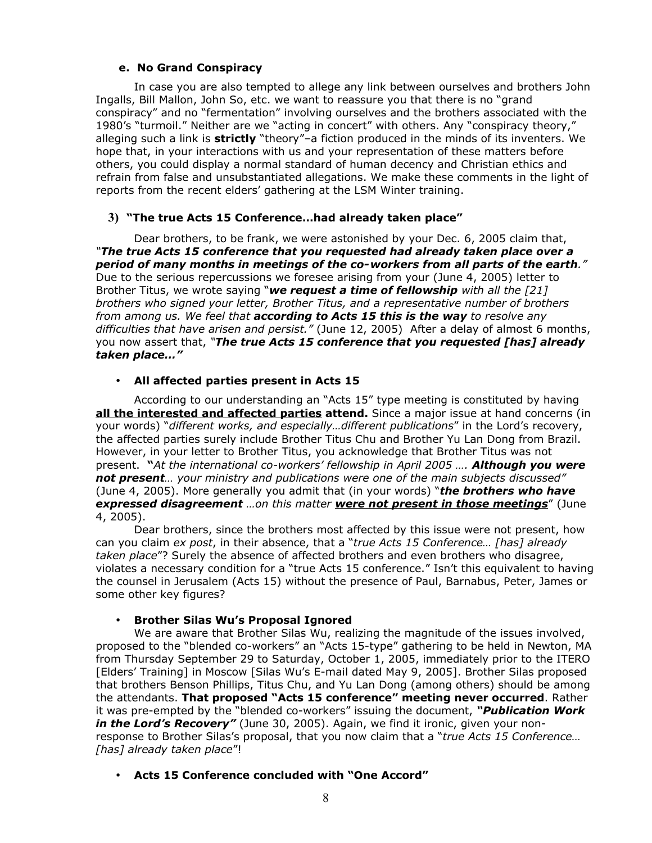## **e. No Grand Conspiracy**

In case you are also tempted to allege any link between ourselves and brothers John Ingalls, Bill Mallon, John So, etc. we want to reassure you that there is no "grand conspiracy" and no "fermentation" involving ourselves and the brothers associated with the 1980's "turmoil." Neither are we "acting in concert" with others. Any "conspiracy theory," alleging such a link is **strictly** "theory"–a fiction produced in the minds of its inventers. We hope that, in your interactions with us and your representation of these matters before others, you could display a normal standard of human decency and Christian ethics and refrain from false and unsubstantiated allegations. We make these comments in the light of reports from the recent elders' gathering at the LSM Winter training.

# **3) "The true Acts 15 Conference…had already taken place"**

Dear brothers, to be frank, we were astonished by your Dec. 6, 2005 claim that, *"The true Acts 15 conference that you requested had already taken place over a period of many months in meetings of the co-workers from all parts of the earth."* Due to the serious repercussions we foresee arising from your (June 4, 2005) letter to Brother Titus, we wrote saying "*we request a time of fellowship with all the [21] brothers who signed your letter, Brother Titus, and a representative number of brothers from among us. We feel that according to Acts 15 this is the way to resolve any difficulties that have arisen and persist."* (June 12, 2005) After a delay of almost 6 months, you now assert that, *"The true Acts 15 conference that you requested [has] already taken place…"*

## • **All affected parties present in Acts 15**

According to our understanding an "Acts 15" type meeting is constituted by having **all the interested and affected parties attend.** Since a major issue at hand concerns (in your words) "*different works, and especially…different publications*" in the Lord's recovery, the affected parties surely include Brother Titus Chu and Brother Yu Lan Dong from Brazil. However, in your letter to Brother Titus, you acknowledge that Brother Titus was not present. **"***At the international co-workers' fellowship in April 2005 …. Although you were not present… your ministry and publications were one of the main subjects discussed"* (June 4, 2005). More generally you admit that (in your words) "*the brothers who have expressed disagreement …on this matter were not present in those meetings*" (June 4, 2005).

Dear brothers, since the brothers most affected by this issue were not present, how can you claim *ex post*, in their absence, that a "*true Acts 15 Conference… [has] already taken place*"? Surely the absence of affected brothers and even brothers who disagree, violates a necessary condition for a "true Acts 15 conference." Isn't this equivalent to having the counsel in Jerusalem (Acts 15) without the presence of Paul, Barnabus, Peter, James or some other key figures?

### • **Brother Silas Wu's Proposal Ignored**

We are aware that Brother Silas Wu, realizing the magnitude of the issues involved, proposed to the "blended co-workers" an "Acts 15-type" gathering to be held in Newton, MA from Thursday September 29 to Saturday, October 1, 2005, immediately prior to the ITERO [Elders' Training] in Moscow [Silas Wu's E-mail dated May 9, 2005]. Brother Silas proposed that brothers Benson Phillips, Titus Chu, and Yu Lan Dong (among others) should be among the attendants. **That proposed "Acts 15 conference" meeting never occurred**. Rather it was pre-empted by the "blended co-workers" issuing the document, *"Publication Work in the Lord's Recovery"* (June 30, 2005). Again, we find it ironic, given your nonresponse to Brother Silas's proposal, that you now claim that a "*true Acts 15 Conference… [has] already taken place*"!

### • **Acts 15 Conference concluded with "One Accord"**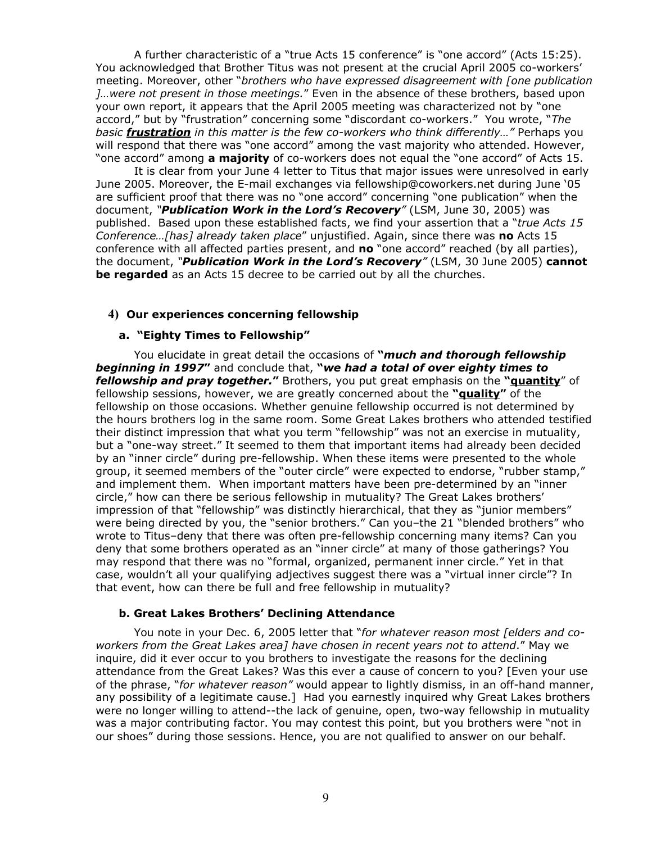A further characteristic of a "true Acts 15 conference" is "one accord" (Acts 15:25). You acknowledged that Brother Titus was not present at the crucial April 2005 co-workers' meeting. Moreover, other "*brothers who have expressed disagreement with [one publication ]…were not present in those meetings.*" Even in the absence of these brothers, based upon your own report, it appears that the April 2005 meeting was characterized not by "one accord," but by "frustration" concerning some "discordant co-workers." You wrote, "*The basic frustration in this matter is the few co-workers who think differently…"* Perhaps you will respond that there was "one accord" among the vast majority who attended. However, "one accord" among **a majority** of co-workers does not equal the "one accord" of Acts 15.

It is clear from your June 4 letter to Titus that major issues were unresolved in early June 2005. Moreover, the E-mail exchanges via fellowship@coworkers.net during June '05 are sufficient proof that there was no "one accord" concerning "one publication" when the document, *"Publication Work in the Lord's Recovery"* (LSM, June 30, 2005) was published. Based upon these established facts, we find your assertion that a "*true Acts 15 Conference…[has] already taken place*" unjustified. Again, since there was **no** Acts 15 conference with all affected parties present, and **no** "one accord" reached (by all parties), the document, *"Publication Work in the Lord's Recovery"* (LSM, 30 June 2005) **cannot be regarded** as an Acts 15 decree to be carried out by all the churches.

### **4) Our experiences concerning fellowship**

#### **a. "Eighty Times to Fellowship"**

You elucidate in great detail the occasions of **"***much and thorough fellowship beginning in 1997***"** and conclude that, **"***we had a total of over eighty times to fellowship and pray together.***"** Brothers, you put great emphasis on the **"quantity**" of fellowship sessions, however, we are greatly concerned about the **"quality"** of the fellowship on those occasions. Whether genuine fellowship occurred is not determined by the hours brothers log in the same room. Some Great Lakes brothers who attended testified their distinct impression that what you term "fellowship" was not an exercise in mutuality, but a "one-way street." It seemed to them that important items had already been decided by an "inner circle" during pre-fellowship. When these items were presented to the whole group, it seemed members of the "outer circle" were expected to endorse, "rubber stamp," and implement them. When important matters have been pre-determined by an "inner circle," how can there be serious fellowship in mutuality? The Great Lakes brothers' impression of that "fellowship" was distinctly hierarchical, that they as "junior members" were being directed by you, the "senior brothers." Can you–the 21 "blended brothers" who wrote to Titus–deny that there was often pre-fellowship concerning many items? Can you deny that some brothers operated as an "inner circle" at many of those gatherings? You may respond that there was no "formal, organized, permanent inner circle." Yet in that case, wouldn't all your qualifying adjectives suggest there was a "virtual inner circle"? In that event, how can there be full and free fellowship in mutuality?

### **b. Great Lakes Brothers' Declining Attendance**

You note in your Dec. 6, 2005 letter that "*for whatever reason most [elders and coworkers from the Great Lakes area] have chosen in recent years not to attend*." May we inquire, did it ever occur to you brothers to investigate the reasons for the declining attendance from the Great Lakes? Was this ever a cause of concern to you? [Even your use of the phrase, "*for whatever reason"* would appear to lightly dismiss, in an off-hand manner, any possibility of a legitimate cause.] Had you earnestly inquired why Great Lakes brothers were no longer willing to attend--the lack of genuine, open, two-way fellowship in mutuality was a major contributing factor. You may contest this point, but you brothers were "not in our shoes" during those sessions. Hence, you are not qualified to answer on our behalf.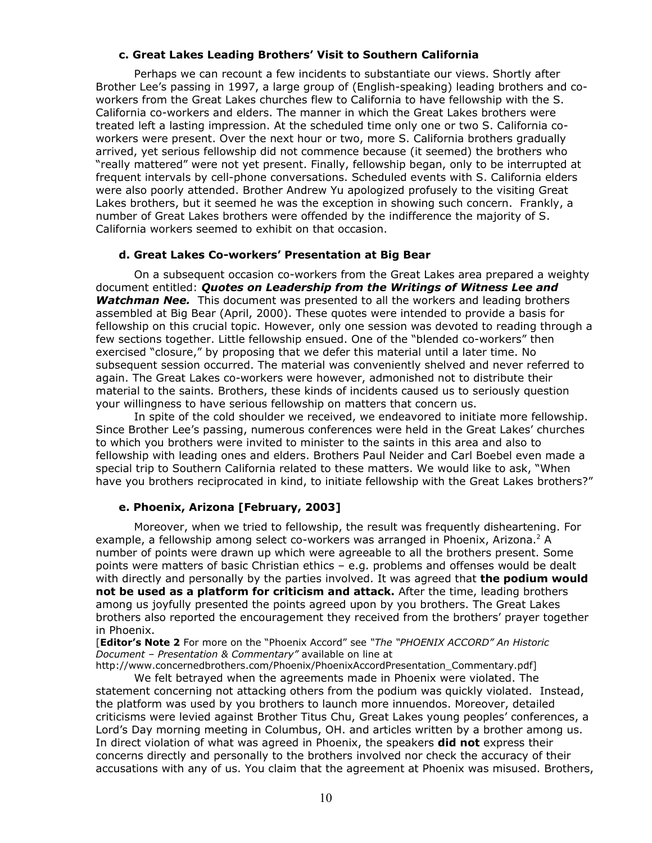#### **c. Great Lakes Leading Brothers' Visit to Southern California**

Perhaps we can recount a few incidents to substantiate our views. Shortly after Brother Lee's passing in 1997, a large group of (English-speaking) leading brothers and coworkers from the Great Lakes churches flew to California to have fellowship with the S. California co-workers and elders. The manner in which the Great Lakes brothers were treated left a lasting impression. At the scheduled time only one or two S. California coworkers were present. Over the next hour or two, more S. California brothers gradually arrived, yet serious fellowship did not commence because (it seemed) the brothers who "really mattered" were not yet present. Finally, fellowship began, only to be interrupted at frequent intervals by cell-phone conversations. Scheduled events with S. California elders were also poorly attended. Brother Andrew Yu apologized profusely to the visiting Great Lakes brothers, but it seemed he was the exception in showing such concern. Frankly, a number of Great Lakes brothers were offended by the indifference the majority of S. California workers seemed to exhibit on that occasion.

## **d. Great Lakes Co-workers' Presentation at Big Bear**

On a subsequent occasion co-workers from the Great Lakes area prepared a weighty document entitled: *Quotes on Leadership from the Writings of Witness Lee and Watchman Nee.* This document was presented to all the workers and leading brothers assembled at Big Bear (April, 2000). These quotes were intended to provide a basis for fellowship on this crucial topic. However, only one session was devoted to reading through a few sections together. Little fellowship ensued. One of the "blended co-workers" then exercised "closure," by proposing that we defer this material until a later time. No subsequent session occurred. The material was conveniently shelved and never referred to again. The Great Lakes co-workers were however, admonished not to distribute their material to the saints. Brothers, these kinds of incidents caused us to seriously question your willingness to have serious fellowship on matters that concern us.

In spite of the cold shoulder we received, we endeavored to initiate more fellowship. Since Brother Lee's passing, numerous conferences were held in the Great Lakes' churches to which you brothers were invited to minister to the saints in this area and also to fellowship with leading ones and elders. Brothers Paul Neider and Carl Boebel even made a special trip to Southern California related to these matters. We would like to ask, "When have you brothers reciprocated in kind, to initiate fellowship with the Great Lakes brothers?"

# **e. Phoenix, Arizona [February, 2003]**

Moreover, when we tried to fellowship, the result was frequently disheartening. For example, a fellowship among select co-workers was arranged in Phoenix, Arizona. <sup>2</sup> A number of points were drawn up which were agreeable to all the brothers present. Some points were matters of basic Christian ethics – e.g. problems and offenses would be dealt with directly and personally by the parties involved. It was agreed that **the podium would not be used as a platform for criticism and attack.** After the time, leading brothers among us joyfully presented the points agreed upon by you brothers. The Great Lakes brothers also reported the encouragement they received from the brothers' prayer together in Phoenix.

[**Editor's Note 2** For more on the "Phoenix Accord" see *"The "PHOENIX ACCORD" An Historic Document – Presentation & Commentary"* available on line at

http://www.concernedbrothers.com/Phoenix/PhoenixAccordPresentation\_Commentary.pdf] We felt betrayed when the agreements made in Phoenix were violated. The

statement concerning not attacking others from the podium was quickly violated. Instead, the platform was used by you brothers to launch more innuendos. Moreover, detailed criticisms were levied against Brother Titus Chu, Great Lakes young peoples' conferences, a Lord's Day morning meeting in Columbus, OH. and articles written by a brother among us. In direct violation of what was agreed in Phoenix, the speakers **did not** express their concerns directly and personally to the brothers involved nor check the accuracy of their accusations with any of us. You claim that the agreement at Phoenix was misused. Brothers,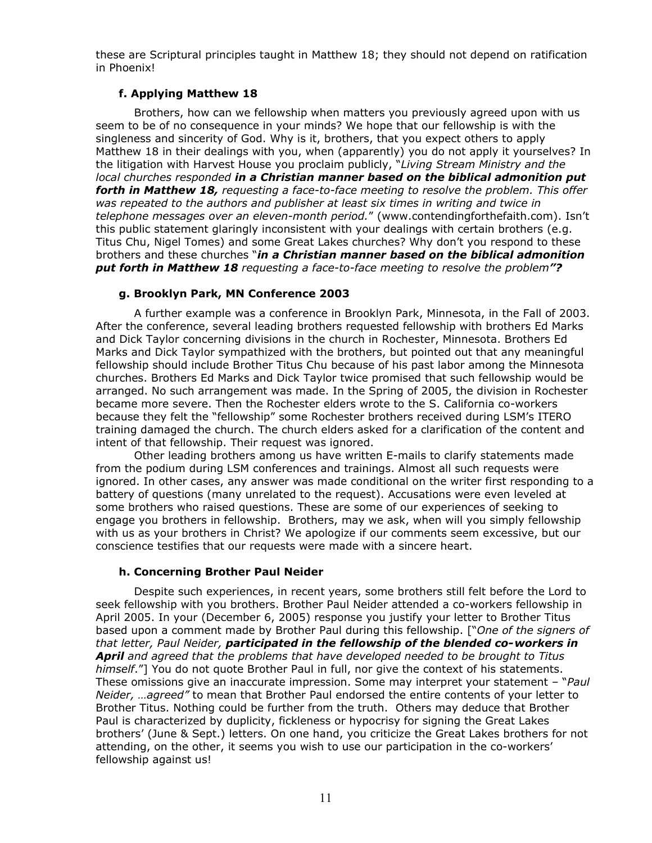these are Scriptural principles taught in Matthew 18; they should not depend on ratification in Phoenix!

# **f. Applying Matthew 18**

Brothers, how can we fellowship when matters you previously agreed upon with us seem to be of no consequence in your minds? We hope that our fellowship is with the singleness and sincerity of God. Why is it, brothers, that you expect others to apply Matthew 18 in their dealings with you, when (apparently) you do not apply it yourselves? In the litigation with Harvest House you proclaim publicly, "*Living Stream Ministry and the local churches responded in a Christian manner based on the biblical admonition put forth in Matthew 18, requesting a face-to-face meeting to resolve the problem. This offer was repeated to the authors and publisher at least six times in writing and twice in telephone messages over an eleven-month period.*" (www.contendingforthefaith.com). Isn't this public statement glaringly inconsistent with your dealings with certain brothers (e.g. Titus Chu, Nigel Tomes) and some Great Lakes churches? Why don't you respond to these brothers and these churches "*in a Christian manner based on the biblical admonition put forth in Matthew 18 requesting a face-to-face meeting to resolve the problem"?*

## **g. Brooklyn Park, MN Conference 2003**

A further example was a conference in Brooklyn Park, Minnesota, in the Fall of 2003. After the conference, several leading brothers requested fellowship with brothers Ed Marks and Dick Taylor concerning divisions in the church in Rochester, Minnesota. Brothers Ed Marks and Dick Taylor sympathized with the brothers, but pointed out that any meaningful fellowship should include Brother Titus Chu because of his past labor among the Minnesota churches. Brothers Ed Marks and Dick Taylor twice promised that such fellowship would be arranged. No such arrangement was made. In the Spring of 2005, the division in Rochester became more severe. Then the Rochester elders wrote to the S. California co-workers because they felt the "fellowship" some Rochester brothers received during LSM's ITERO training damaged the church. The church elders asked for a clarification of the content and intent of that fellowship. Their request was ignored.

Other leading brothers among us have written E-mails to clarify statements made from the podium during LSM conferences and trainings. Almost all such requests were ignored. In other cases, any answer was made conditional on the writer first responding to a battery of questions (many unrelated to the request). Accusations were even leveled at some brothers who raised questions. These are some of our experiences of seeking to engage you brothers in fellowship. Brothers, may we ask, when will you simply fellowship with us as your brothers in Christ? We apologize if our comments seem excessive, but our conscience testifies that our requests were made with a sincere heart.

# **h. Concerning Brother Paul Neider**

Despite such experiences, in recent years, some brothers still felt before the Lord to seek fellowship with you brothers. Brother Paul Neider attended a co-workers fellowship in April 2005. In your (December 6, 2005) response you justify your letter to Brother Titus based upon a comment made by Brother Paul during this fellowship. ["*One of the signers of that letter, Paul Neider, participated in the fellowship of the blended co-workers in April and agreed that the problems that have developed needed to be brought to Titus himself*."] You do not quote Brother Paul in full, nor give the context of his statements. These omissions give an inaccurate impression. Some may interpret your statement – "*Paul Neider, …agreed"* to mean that Brother Paul endorsed the entire contents of your letter to Brother Titus. Nothing could be further from the truth. Others may deduce that Brother Paul is characterized by duplicity, fickleness or hypocrisy for signing the Great Lakes brothers' (June & Sept.) letters. On one hand, you criticize the Great Lakes brothers for not attending, on the other, it seems you wish to use our participation in the co-workers' fellowship against us!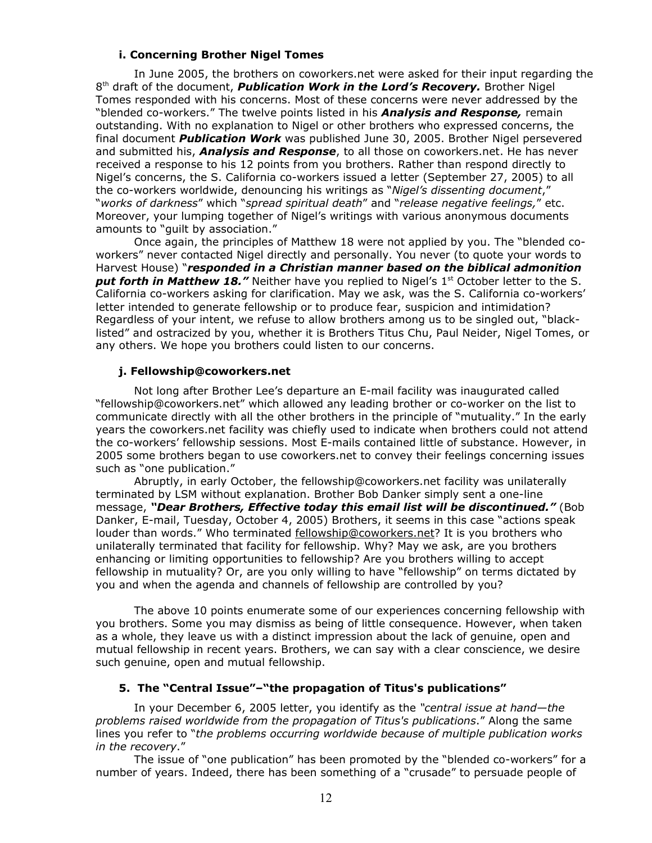#### **i. Concerning Brother Nigel Tomes**

In June 2005, the brothers on coworkers.net were asked for their input regarding the 8 th draft of the document, *Publication Work in the Lord's Recovery.* Brother Nigel Tomes responded with his concerns. Most of these concerns were never addressed by the "blended co-workers." The twelve points listed in his *Analysis and Response,* remain outstanding. With no explanation to Nigel or other brothers who expressed concerns, the final document *Publication Work* was published June 30, 2005. Brother Nigel persevered and submitted his, *Analysis and Response*, to all those on coworkers.net. He has never received a response to his 12 points from you brothers. Rather than respond directly to Nigel's concerns, the S. California co-workers issued a letter (September 27, 2005) to all the co-workers worldwide, denouncing his writings as "*Nigel's dissenting document*," "*works of darkness*" which "*spread spiritual death*" and "*release negative feelings,*" etc. Moreover, your lumping together of Nigel's writings with various anonymous documents amounts to "guilt by association."

Once again, the principles of Matthew 18 were not applied by you. The "blended coworkers" never contacted Nigel directly and personally. You never (to quote your words to Harvest House) "*responded in a Christian manner based on the biblical admonition* **put forth in Matthew 18."** Neither have you replied to Nigel's 1<sup>st</sup> October letter to the S. California co-workers asking for clarification. May we ask, was the S. California co-workers' letter intended to generate fellowship or to produce fear, suspicion and intimidation? Regardless of your intent, we refuse to allow brothers among us to be singled out, "blacklisted" and ostracized by you, whether it is Brothers Titus Chu, Paul Neider, Nigel Tomes, or any others. We hope you brothers could listen to our concerns.

### **j. Fellowship@coworkers.net**

Not long after Brother Lee's departure an E-mail facility was inaugurated called "fellowship@coworkers.net" which allowed any leading brother or co-worker on the list to communicate directly with all the other brothers in the principle of "mutuality." In the early years the coworkers.net facility was chiefly used to indicate when brothers could not attend the co-workers' fellowship sessions. Most E-mails contained little of substance. However, in 2005 some brothers began to use coworkers.net to convey their feelings concerning issues such as "one publication."

Abruptly, in early October, the fellowship@coworkers.net facility was unilaterally terminated by LSM without explanation. Brother Bob Danker simply sent a one-line message, *"Dear Brothers, Effective today this email list will be discontinued."* (Bob Danker, E-mail, Tuesday, October 4, 2005) Brothers, it seems in this case "actions speak louder than words." Who terminated [fellowship@coworkers.net](mailto:fellowship@coworkers.net)? It is you brothers who unilaterally terminated that facility for fellowship. Why? May we ask, are you brothers enhancing or limiting opportunities to fellowship? Are you brothers willing to accept fellowship in mutuality? Or, are you only willing to have "fellowship" on terms dictated by you and when the agenda and channels of fellowship are controlled by you?

The above 10 points enumerate some of our experiences concerning fellowship with you brothers. Some you may dismiss as being of little consequence. However, when taken as a whole, they leave us with a distinct impression about the lack of genuine, open and mutual fellowship in recent years. Brothers, we can say with a clear conscience, we desire such genuine, open and mutual fellowship.

# **5. The "Central Issue"–"the propagation of Titus's publications"**

In your December 6, 2005 letter, you identify as the *"central issue at hand—the problems raised worldwide from the propagation of Titus's publications*." Along the same lines you refer to "*the problems occurring worldwide because of multiple publication works in the recovery*."

The issue of "one publication" has been promoted by the "blended co-workers" for a number of years. Indeed, there has been something of a "crusade" to persuade people of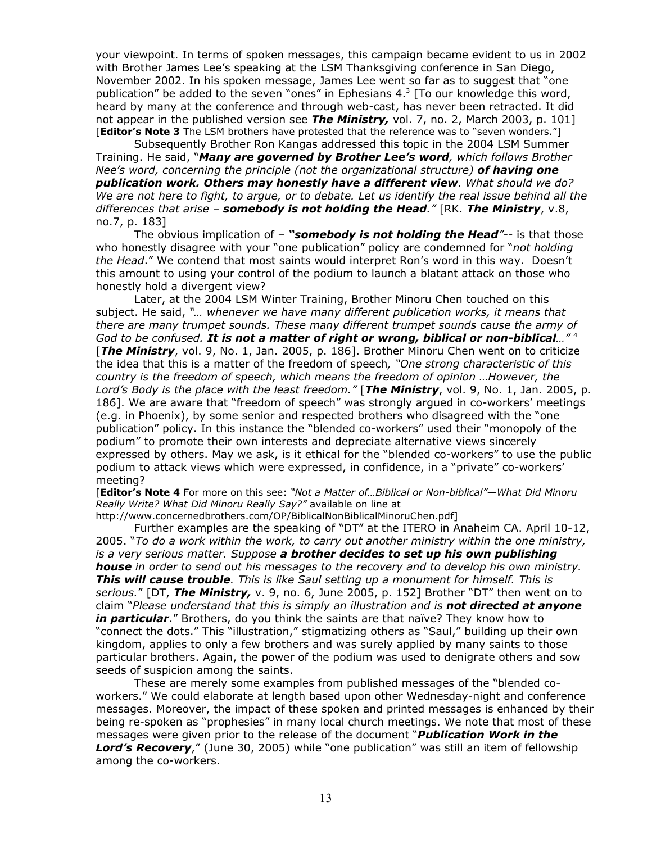your viewpoint. In terms of spoken messages, this campaign became evident to us in 2002 with Brother James Lee's speaking at the LSM Thanksgiving conference in San Diego, November 2002. In his spoken message, James Lee went so far as to suggest that "one publication" be added to the seven "ones" in Ephesians  $4.3$  [To our knowledge this word, heard by many at the conference and through web-cast, has never been retracted. It did not appear in the published version see *The Ministry,* vol. 7, no. 2, March 2003, p. 101] [**Editor's Note 3** The LSM brothers have protested that the reference was to "seven wonders."]

Subsequently Brother Ron Kangas addressed this topic in the 2004 LSM Summer Training. He said, "*Many are governed by Brother Lee's word, which follows Brother Nee's word, concerning the principle (not the organizational structure) of having one publication work. Others may honestly have a different view. What should we do?* We are not here to fight, to argue, or to debate. Let us identify the real issue behind all the *differences that arise – somebody is not holding the Head."* [RK. *The Ministry*, v.8, no.7, p. 183]

The obvious implication of – *"somebody is not holding the Head"--* is that those who honestly disagree with your "one publication" policy are condemned for "*not holding the Head*." We contend that most saints would interpret Ron's word in this way. Doesn't this amount to using your control of the podium to launch a blatant attack on those who honestly hold a divergent view?

Later, at the 2004 LSM Winter Training, Brother Minoru Chen touched on this subject. He said, *"… whenever we have many different publication works, it means that there are many trumpet sounds. These many different trumpet sounds cause the army of God to be confused. It is not a matter of right or wrong, biblical or non-biblical…"* 4 [*The Ministry*, vol. 9, No. 1, Jan. 2005, p. 186]. Brother Minoru Chen went on to criticize the idea that this is a matter of the freedom of speech*, "One strong characteristic of this country is the freedom of speech, which means the freedom of opinion …However, the Lord's Body is the place with the least freedom."* [*The Ministry*, vol. 9, No. 1, Jan. 2005, p. 186]. We are aware that "freedom of speech" was strongly argued in co-workers' meetings (e.g. in Phoenix), by some senior and respected brothers who disagreed with the "one publication" policy. In this instance the "blended co-workers" used their "monopoly of the podium" to promote their own interests and depreciate alternative views sincerely expressed by others. May we ask, is it ethical for the "blended co-workers" to use the public podium to attack views which were expressed, in confidence, in a "private" co-workers' meeting?

[**Editor's Note 4** For more on this see: *"Not a Matter of…Biblical or Non-biblical"—What Did Minoru Really Write? What Did Minoru Really Say?"* available on line at

http://www.concernedbrothers.com/OP/BiblicalNonBiblicalMinoruChen.pdf]

Further examples are the speaking of "DT" at the ITERO in Anaheim CA. April 10-12, 2005. "*To do a work within the work, to carry out another ministry within the one ministry, is a very serious matter. Suppose a brother decides to set up his own publishing house in order to send out his messages to the recovery and to develop his own ministry. This will cause trouble. This is like Saul setting up a monument for himself. This is serious.*" [DT, *The Ministry,* v. 9, no. 6, June 2005, p. 152] Brother "DT" then went on to claim "*Please understand that this is simply an illustration and is not directed at anyone in particular*." Brothers, do you think the saints are that naïve? They know how to "connect the dots." This "illustration," stigmatizing others as "Saul," building up their own kingdom, applies to only a few brothers and was surely applied by many saints to those particular brothers. Again, the power of the podium was used to denigrate others and sow seeds of suspicion among the saints.

These are merely some examples from published messages of the "blended coworkers." We could elaborate at length based upon other Wednesday-night and conference messages. Moreover, the impact of these spoken and printed messages is enhanced by their being re-spoken as "prophesies" in many local church meetings. We note that most of these messages were given prior to the release of the document "*Publication Work in the Lord's Recovery*," (June 30, 2005) while "one publication" was still an item of fellowship among the co-workers.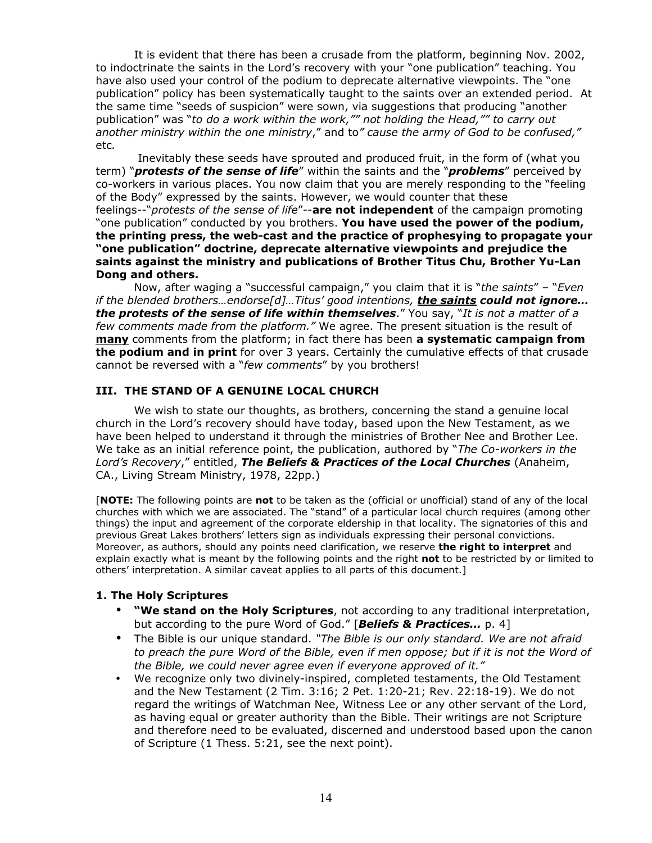It is evident that there has been a crusade from the platform, beginning Nov. 2002, to indoctrinate the saints in the Lord's recovery with your "one publication" teaching. You have also used your control of the podium to deprecate alternative viewpoints. The "one publication" policy has been systematically taught to the saints over an extended period. At the same time "seeds of suspicion" were sown, via suggestions that producing "another publication" was "*to do a work within the work,"" not holding the Head,"" to carry out another ministry within the one ministry*," and to*" cause the army of God to be confused,"* etc*.*

Inevitably these seeds have sprouted and produced fruit, in the form of (what you term) "*protests of the sense of life*" within the saints and the "*problems*" perceived by co-workers in various places. You now claim that you are merely responding to the "feeling of the Body" expressed by the saints. However, we would counter that these feelings--"*protests of the sense of life*"--**are not independent** of the campaign promoting "one publication" conducted by you brothers. **You have used the power of the podium, the printing press, the web-cast and the practice of prophesying to propagate your "one publication" doctrine, deprecate alternative viewpoints and prejudice the saints against the ministry and publications of Brother Titus Chu, Brother Yu-Lan Dong and others.**

Now, after waging a "successful campaign," you claim that it is "*the saints*" – "*Even if the blended brothers…endorse[d]…Titus' good intentions, the saints could not ignore… the protests of the sense of life within themselves*." You say, "*It is not a matter of a few comments made from the platform."* We agree. The present situation is the result of **many** comments from the platform; in fact there has been **a systematic campaign from the podium and in print** for over 3 years. Certainly the cumulative effects of that crusade cannot be reversed with a "*few comments*" by you brothers!

### **III. THE STAND OF A GENUINE LOCAL CHURCH**

We wish to state our thoughts, as brothers, concerning the stand a genuine local church in the Lord's recovery should have today, based upon the New Testament, as we have been helped to understand it through the ministries of Brother Nee and Brother Lee. We take as an initial reference point, the publication, authored by "*The Co-workers in the Lord's Recovery*," entitled, *The Beliefs & Practices of the Local Churches* (Anaheim, CA., Living Stream Ministry, 1978, 22pp.)

[**NOTE:** The following points are **not** to be taken as the (official or unofficial) stand of any of the local churches with which we are associated. The "stand" of a particular local church requires (among other things) the input and agreement of the corporate eldership in that locality. The signatories of this and previous Great Lakes brothers' letters sign as individuals expressing their personal convictions. Moreover, as authors, should any points need clarification, we reserve **the right to interpret** and explain exactly what is meant by the following points and the right **not** to be restricted by or limited to others' interpretation. A similar caveat applies to all parts of this document.]

### **1. The Holy Scriptures**

- **"We stand on the Holy Scriptures**, not according to any traditional interpretation, but according to the pure Word of God." [*Beliefs & Practices…* p. 4]
- The Bible is our unique standard. *"The Bible is our only standard. We are not afraid* to preach the pure Word of the Bible, even if men oppose; but if it is not the Word of *the Bible, we could never agree even if everyone approved of it."*
- We recognize only two divinely-inspired, completed testaments, the Old Testament and the New Testament (2 Tim. 3:16; 2 Pet. 1:20-21; Rev. 22:18-19). We do not regard the writings of Watchman Nee, Witness Lee or any other servant of the Lord, as having equal or greater authority than the Bible. Their writings are not Scripture and therefore need to be evaluated, discerned and understood based upon the canon of Scripture (1 Thess. 5:21, see the next point).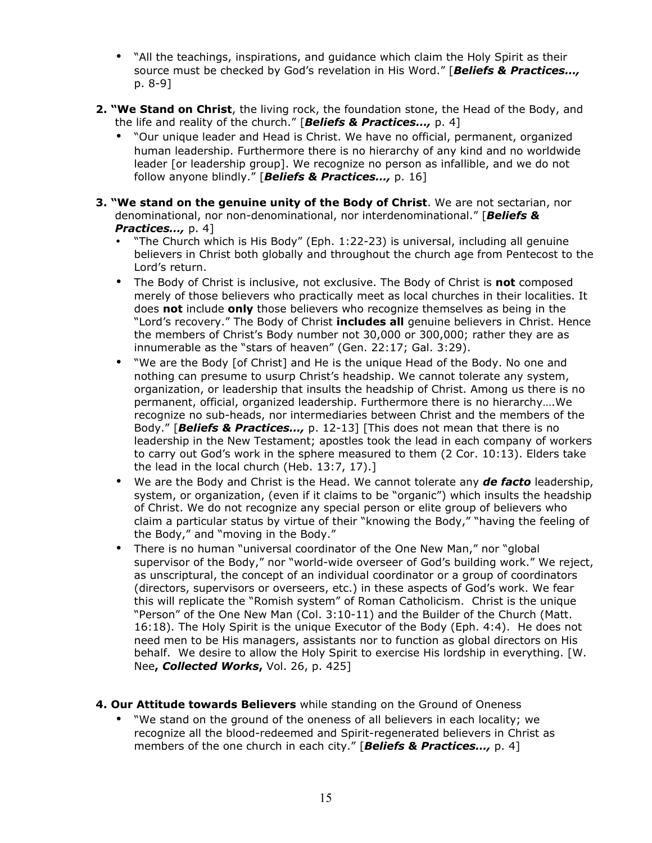- "All the teachings, inspirations, and guidance which claim the Holy Spirit as their source must be checked by God's revelation in His Word." [*Beliefs & Practices…,* p. 8-9]
- **2. "We Stand on Christ**, the living rock, the foundation stone, the Head of the Body, and the life and reality of the church." [*Beliefs & Practices…,* p. 4]
	- "Our unique leader and Head is Christ. We have no official, permanent, organized human leadership. Furthermore there is no hierarchy of any kind and no worldwide leader [or leadership group]. We recognize no person as infallible, and we do not follow anyone blindly." [*Beliefs & Practices…,* p. 16]
- **3. "We stand on the genuine unity of the Body of Christ**. We are not sectarian, nor denominational, nor non-denominational, nor interdenominational." [*Beliefs & Practices…,* p. 4]
	- "The Church which is His Body" (Eph. 1:22-23) is universal, including all genuine believers in Christ both globally and throughout the church age from Pentecost to the Lord's return.
	- The Body of Christ is inclusive, not exclusive. The Body of Christ is **not** composed merely of those believers who practically meet as local churches in their localities. It does **not** include **only** those believers who recognize themselves as being in the "Lord's recovery." The Body of Christ **includes all** genuine believers in Christ. Hence the members of Christ's Body number not 30,000 or 300,000; rather they are as innumerable as the "stars of heaven" (Gen. 22:17; Gal. 3:29).
	- "We are the Body [of Christ] and He is the unique Head of the Body. No one and nothing can presume to usurp Christ's headship. We cannot tolerate any system, organization, or leadership that insults the headship of Christ. Among us there is no permanent, official, organized leadership. Furthermore there is no hierarchy….We recognize no sub-heads, nor intermediaries between Christ and the members of the Body." [*Beliefs & Practices…,* p. 12-13] [This does not mean that there is no leadership in the New Testament; apostles took the lead in each company of workers to carry out God's work in the sphere measured to them (2 Cor. 10:13). Elders take the lead in the local church (Heb. 13:7, 17).]
	- We are the Body and Christ is the Head. We cannot tolerate any *de facto* leadership, system, or organization, (even if it claims to be "organic") which insults the headship of Christ. We do not recognize any special person or elite group of believers who claim a particular status by virtue of their "knowing the Body," "having the feeling of the Body," and "moving in the Body."
	- There is no human "universal coordinator of the One New Man," nor "global supervisor of the Body," nor "world-wide overseer of God's building work." We reject, as unscriptural, the concept of an individual coordinator or a group of coordinators (directors, supervisors or overseers, etc.) in these aspects of God's work. We fear this will replicate the "Romish system" of Roman Catholicism. Christ is the unique "Person" of the One New Man (Col. 3:10-11) and the Builder of the Church (Matt. 16:18). The Holy Spirit is the unique Executor of the Body (Eph. 4:4). He does not need men to be His managers, assistants nor to function as global directors on His behalf. We desire to allow the Holy Spirit to exercise His lordship in everything. [W. Nee**,** *Collected Works***,** Vol. 26, p. 425]
- **4. Our Attitude towards Believers** while standing on the Ground of Oneness
	- "We stand on the ground of the oneness of all believers in each locality; we recognize all the blood-redeemed and Spirit-regenerated believers in Christ as members of the one church in each city." [*Beliefs & Practices…,* p. 4]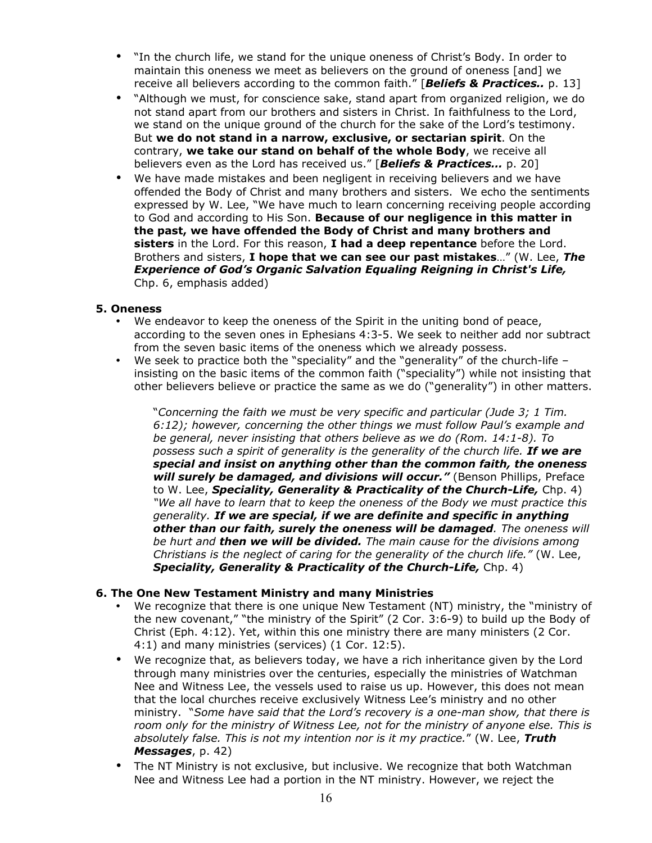- "In the church life, we stand for the unique oneness of Christ's Body. In order to maintain this oneness we meet as believers on the ground of oneness [and] we receive all believers according to the common faith." [*Beliefs & Practices..* p. 13]
- "Although we must, for conscience sake, stand apart from organized religion, we do not stand apart from our brothers and sisters in Christ. In faithfulness to the Lord, we stand on the unique ground of the church for the sake of the Lord's testimony. But **we do not stand in a narrow, exclusive, or sectarian spirit**. On the contrary, **we take our stand on behalf of the whole Body**, we receive all believers even as the Lord has received us." [*Beliefs & Practices…* p. 20]
- We have made mistakes and been negligent in receiving believers and we have offended the Body of Christ and many brothers and sisters. We echo the sentiments expressed by W. Lee, "We have much to learn concerning receiving people according to God and according to His Son. **Because of our negligence in this matter in the past, we have offended the Body of Christ and many brothers and sisters** in the Lord. For this reason, **I had a deep repentance** before the Lord. Brothers and sisters, **I hope that we can see our past mistakes**…" (W. Lee, *The Experience of God's Organic Salvation Equaling Reigning in Christ's Life,* Chp. 6, emphasis added)

## **5. Oneness**

- We endeavor to keep the oneness of the Spirit in the uniting bond of peace, according to the seven ones in Ephesians 4:3-5. We seek to neither add nor subtract from the seven basic items of the oneness which we already possess.
- We seek to practice both the "speciality" and the "generality" of the church-life insisting on the basic items of the common faith ("speciality") while not insisting that other believers believe or practice the same as we do ("generality") in other matters.

"*Concerning the faith we must be very specific and particular (Jude 3; 1 Tim. 6:12); however, concerning the other things we must follow Paul's example and be general, never insisting that others believe as we do (Rom. 14:1-8). To possess such a spirit of generality is the generality of the church life. If we are special and insist on anything other than the common faith, the oneness will surely be damaged, and divisions will occur."* (Benson Phillips, Preface to W. Lee, *Speciality, Generality & Practicality of the Church-Life,* Chp. 4) *"We all have to learn that to keep the oneness of the Body we must practice this generality. If we are special, if we are definite and specific in anything other than our faith, surely the oneness will be damaged. The oneness will be hurt and then we will be divided. The main cause for the divisions among Christians is the neglect of caring for the generality of the church life."* (W. Lee, *Speciality, Generality & Practicality of the Church-Life,* Chp. 4)

### **6. The One New Testament Ministry and many Ministries**

- We recognize that there is one unique New Testament (NT) ministry, the "ministry of the new covenant," "the ministry of the Spirit" (2 Cor. 3:6-9) to build up the Body of Christ (Eph. 4:12). Yet, within this one ministry there are many ministers (2 Cor. 4:1) and many ministries (services) (1 Cor. 12:5).
- We recognize that, as believers today, we have a rich inheritance given by the Lord through many ministries over the centuries, especially the ministries of Watchman Nee and Witness Lee, the vessels used to raise us up. However, this does not mean that the local churches receive exclusively Witness Lee's ministry and no other ministry. "*Some have said that the Lord's recovery is a one-man show, that there is room only for the ministry of Witness Lee, not for the ministry of anyone else. This is absolutely false. This is not my intention nor is it my practice.*" (W. Lee, *Truth Messages*, p. 42)
- The NT Ministry is not exclusive, but inclusive. We recognize that both Watchman Nee and Witness Lee had a portion in the NT ministry. However, we reject the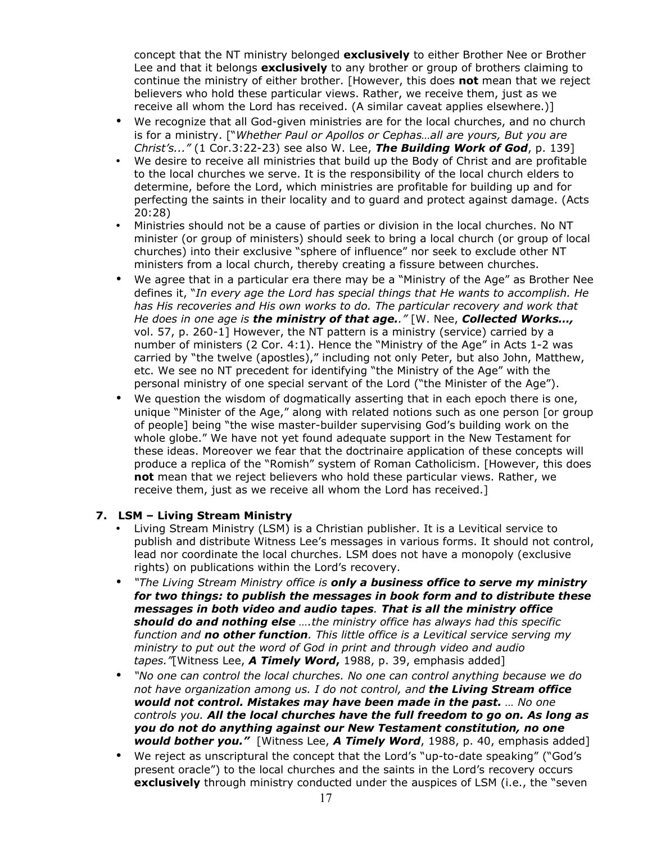concept that the NT ministry belonged **exclusively** to either Brother Nee or Brother Lee and that it belongs **exclusively** to any brother or group of brothers claiming to continue the ministry of either brother. [However, this does **not** mean that we reject believers who hold these particular views. Rather, we receive them, just as we receive all whom the Lord has received. (A similar caveat applies elsewhere.)]

- We recognize that all God-given ministries are for the local churches, and no church is for a ministry. ["*Whether Paul or Apollos or Cephas…all are yours, But you are Christ's..."* (1 Cor.3:22-23) see also W. Lee, *The Building Work of God*, p. 139]
- We desire to receive all ministries that build up the Body of Christ and are profitable to the local churches we serve. It is the responsibility of the local church elders to determine, before the Lord, which ministries are profitable for building up and for perfecting the saints in their locality and to guard and protect against damage. (Acts 20:28)
- Ministries should not be a cause of parties or division in the local churches. No NT minister (or group of ministers) should seek to bring a local church (or group of local churches) into their exclusive "sphere of influence" nor seek to exclude other NT ministers from a local church, thereby creating a fissure between churches.
- We agree that in a particular era there may be a "Ministry of the Age" as Brother Nee defines it, "*In every age the Lord has special things that He wants to accomplish. He has His recoveries and His own works to do. The particular recovery and work that He does in one age is the ministry of that age.."* [W. Nee, *Collected Works…,* vol. 57, p. 260-1] However, the NT pattern is a ministry (service) carried by a number of ministers (2 Cor. 4:1). Hence the "Ministry of the Age" in Acts 1-2 was carried by "the twelve (apostles)," including not only Peter, but also John, Matthew, etc. We see no NT precedent for identifying "the Ministry of the Age" with the personal ministry of one special servant of the Lord ("the Minister of the Age").
- We question the wisdom of dogmatically asserting that in each epoch there is one, unique "Minister of the Age," along with related notions such as one person [or group of people] being "the wise master-builder supervising God's building work on the whole globe." We have not yet found adequate support in the New Testament for these ideas. Moreover we fear that the doctrinaire application of these concepts will produce a replica of the "Romish" system of Roman Catholicism. [However, this does **not** mean that we reject believers who hold these particular views. Rather, we receive them, just as we receive all whom the Lord has received.]

# **7. LSM – Living Stream Ministry**

- Living Stream Ministry (LSM) is a Christian publisher. It is a Levitical service to publish and distribute Witness Lee's messages in various forms. It should not control, lead nor coordinate the local churches. LSM does not have a monopoly (exclusive rights) on publications within the Lord's recovery.
- *"The Living Stream Ministry office is only a business office to serve my ministry for two things: to publish the messages in book form and to distribute these messages in both video and audio tapes. That is all the ministry office should do and nothing else ….the ministry office has always had this specific function and no other function. This little office is a Levitical service serving my ministry to put out the word of God in print and through video and audio tapes."*[Witness Lee, *A Timely Word***,** 1988, p. 39, emphasis added]
- *"No one can control the local churches. No one can control anything because we do not have organization among us. I do not control, and the Living Stream office would not control. Mistakes may have been made in the past. … No one controls you. All the local churches have the full freedom to go on. As long as you do not do anything against our New Testament constitution, no one would bother you."* [Witness Lee, *A Timely Word*, 1988, p. 40, emphasis added]
- We reject as unscriptural the concept that the Lord's "up-to-date speaking" ("God's present oracle") to the local churches and the saints in the Lord's recovery occurs **exclusively** through ministry conducted under the auspices of LSM (i.e., the "seven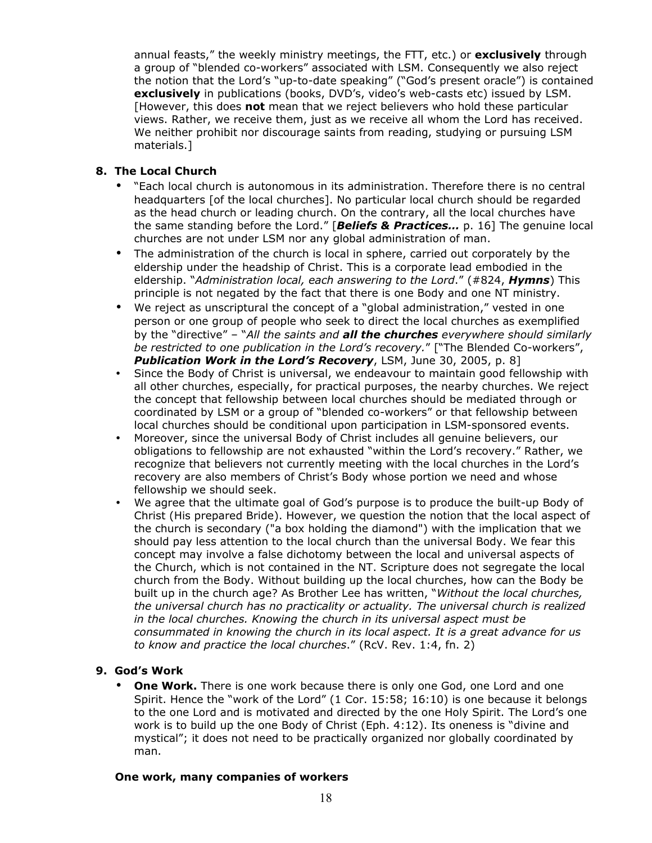annual feasts," the weekly ministry meetings, the FTT, etc.) or **exclusively** through a group of "blended co-workers" associated with LSM. Consequently we also reject the notion that the Lord's "up-to-date speaking" ("God's present oracle") is contained **exclusively** in publications (books, DVD's, video's web-casts etc) issued by LSM. [However, this does **not** mean that we reject believers who hold these particular views. Rather, we receive them, just as we receive all whom the Lord has received. We neither prohibit nor discourage saints from reading, studying or pursuing LSM materials.]

# **8. The Local Church**

- "Each local church is autonomous in its administration. Therefore there is no central headquarters [of the local churches]. No particular local church should be regarded as the head church or leading church. On the contrary, all the local churches have the same standing before the Lord." [*Beliefs & Practices…* p. 16] The genuine local churches are not under LSM nor any global administration of man.
- The administration of the church is local in sphere, carried out corporately by the eldership under the headship of Christ. This is a corporate lead embodied in the eldership. "*Administration local, each answering to the Lord*." (#824, *Hymns*) This principle is not negated by the fact that there is one Body and one NT ministry.
- We reject as unscriptural the concept of a "global administration," vested in one person or one group of people who seek to direct the local churches as exemplified by the "directive" – "*All the saints and all the churches everywhere should similarly be restricted to one publication in the Lord's recovery.*" ["The Blended Co-workers", *Publication Work in the Lord's Recovery*, LSM, June 30, 2005, p. 8]
- Since the Body of Christ is universal, we endeavour to maintain good fellowship with all other churches, especially, for practical purposes, the nearby churches. We reject the concept that fellowship between local churches should be mediated through or coordinated by LSM or a group of "blended co-workers" or that fellowship between local churches should be conditional upon participation in LSM-sponsored events.
- Moreover, since the universal Body of Christ includes all genuine believers, our obligations to fellowship are not exhausted "within the Lord's recovery." Rather, we recognize that believers not currently meeting with the local churches in the Lord's recovery are also members of Christ's Body whose portion we need and whose fellowship we should seek.
- We agree that the ultimate goal of God's purpose is to produce the built-up Body of Christ (His prepared Bride). However, we question the notion that the local aspect of the church is secondary ("a box holding the diamond") with the implication that we should pay less attention to the local church than the universal Body. We fear this concept may involve a false dichotomy between the local and universal aspects of the Church, which is not contained in the NT. Scripture does not segregate the local church from the Body. Without building up the local churches, how can the Body be built up in the church age? As Brother Lee has written, "*Without the local churches, the universal church has no practicality or actuality. The universal church is realized in the local churches. Knowing the church in its universal aspect must be consummated in knowing the church in its local aspect. It is a great advance for us to know and practice the local churches*." (RcV. Rev. 1:4, fn. 2)

# **9. God's Work**

• **One Work.** There is one work because there is only one God, one Lord and one Spirit. Hence the "work of the Lord" (1 Cor. 15:58; 16:10) is one because it belongs to the one Lord and is motivated and directed by the one Holy Spirit. The Lord's one work is to build up the one Body of Christ (Eph. 4:12). Its oneness is "divine and mystical"; it does not need to be practically organized nor globally coordinated by man.

### **One work, many companies of workers**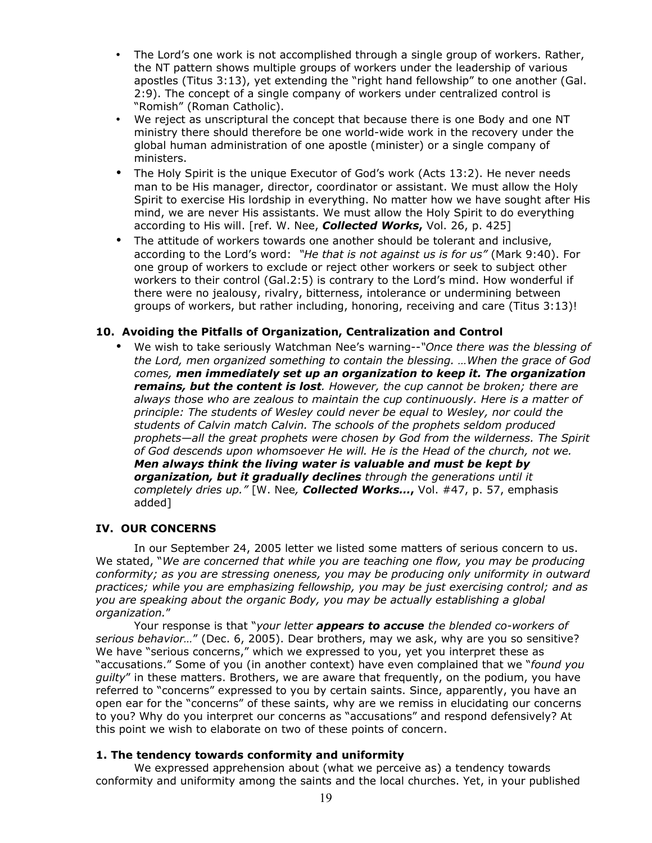- The Lord's one work is not accomplished through a single group of workers. Rather, the NT pattern shows multiple groups of workers under the leadership of various apostles (Titus 3:13), yet extending the "right hand fellowship" to one another (Gal. 2:9). The concept of a single company of workers under centralized control is "Romish" (Roman Catholic).
- We reject as unscriptural the concept that because there is one Body and one NT ministry there should therefore be one world-wide work in the recovery under the global human administration of one apostle (minister) or a single company of ministers.
- The Holy Spirit is the unique Executor of God's work (Acts 13:2). He never needs man to be His manager, director, coordinator or assistant. We must allow the Holy Spirit to exercise His lordship in everything. No matter how we have sought after His mind, we are never His assistants. We must allow the Holy Spirit to do everything according to His will. [ref. W. Nee, *Collected Works***,** Vol. 26, p. 425]
- The attitude of workers towards one another should be tolerant and inclusive, according to the Lord's word: *"He that is not against us is for us"* (Mark 9:40). For one group of workers to exclude or reject other workers or seek to subject other workers to their control (Gal.2:5) is contrary to the Lord's mind. How wonderful if there were no jealousy, rivalry, bitterness, intolerance or undermining between groups of workers, but rather including, honoring, receiving and care (Titus 3:13)!

## **10. Avoiding the Pitfalls of Organization, Centralization and Control**

• We wish to take seriously Watchman Nee's warning--*"Once there was the blessing of the Lord, men organized something to contain the blessing. …When the grace of God comes, men immediately set up an organization to keep it. The organization remains, but the content is lost. However, the cup cannot be broken; there are always those who are zealous to maintain the cup continuously. Here is a matter of principle: The students of Wesley could never be equal to Wesley, nor could the students of Calvin match Calvin. The schools of the prophets seldom produced prophets—all the great prophets were chosen by God from the wilderness. The Spirit of God descends upon whomsoever He will. He is the Head of the church, not we. Men always think the living water is valuable and must be kept by organization, but it gradually declines through the generations until it completely dries up."* [W. Nee*, Collected Works…***,** Vol. #47, p. 57, emphasis added]

### **IV. OUR CONCERNS**

In our September 24, 2005 letter we listed some matters of serious concern to us. We stated, "*We are concerned that while you are teaching one flow, you may be producing conformity; as you are stressing oneness, you may be producing only uniformity in outward practices; while you are emphasizing fellowship, you may be just exercising control; and as you are speaking about the organic Body, you may be actually establishing a global organization.*"

Your response is that "*your letter appears to accuse the blended co-workers of serious behavior…*" (Dec. 6, 2005). Dear brothers, may we ask, why are you so sensitive? We have "serious concerns," which we expressed to you, yet you interpret these as "accusations." Some of you (in another context) have even complained that we "*found you guilty*" in these matters. Brothers, we are aware that frequently, on the podium, you have referred to "concerns" expressed to you by certain saints. Since, apparently, you have an open ear for the "concerns" of these saints, why are we remiss in elucidating our concerns to you? Why do you interpret our concerns as "accusations" and respond defensively? At this point we wish to elaborate on two of these points of concern.

### **1. The tendency towards conformity and uniformity**

We expressed apprehension about (what we perceive as) a tendency towards conformity and uniformity among the saints and the local churches. Yet, in your published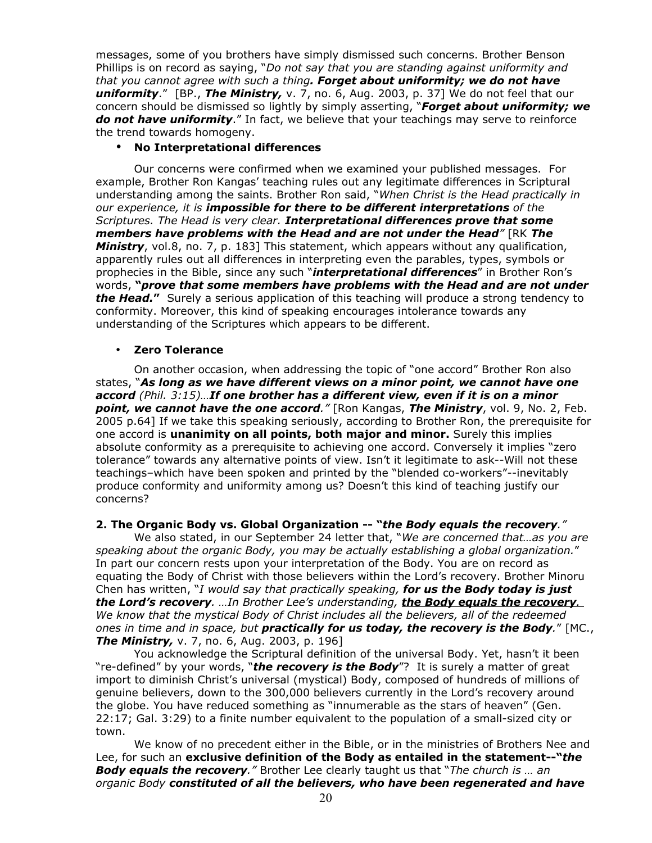messages, some of you brothers have simply dismissed such concerns. Brother Benson Phillips is on record as saying, "*Do not say that you are standing against uniformity and that you cannot agree with such a thing. Forget about uniformity; we do not have uniformity*." [BP., *The Ministry,* v. 7, no. 6, Aug. 2003, p. 37] We do not feel that our concern should be dismissed so lightly by simply asserting, "*Forget about uniformity; we do not have uniformity*." In fact, we believe that your teachings may serve to reinforce the trend towards homogeny.

## • **No Interpretational differences**

Our concerns were confirmed when we examined your published messages. For example, Brother Ron Kangas' teaching rules out any legitimate differences in Scriptural understanding among the saints. Brother Ron said, "*When Christ is the Head practically in our experience, it is impossible for there to be different interpretations of the Scriptures. The Head is very clear. Interpretational differences prove that some members have problems with the Head and are not under the Head"* [RK *The Ministry*, vol.8, no. 7, p. 183] This statement, which appears without any qualification, apparently rules out all differences in interpreting even the parables, types, symbols or prophecies in the Bible, since any such "*interpretational differences*" in Brother Ron's words, **"***prove that some members have problems with the Head and are not under the Head.***"** Surely a serious application of this teaching will produce a strong tendency to conformity. Moreover, this kind of speaking encourages intolerance towards any understanding of the Scriptures which appears to be different.

### • **Zero Tolerance**

On another occasion, when addressing the topic of "one accord" Brother Ron also states, "*As long as we have different views on a minor point, we cannot have one accord (Phil. 3:15)…If one brother has a different view, even if it is on a minor point, we cannot have the one accord."* [Ron Kangas, *The Ministry*, vol. 9, No. 2, Feb. 2005 p.64] If we take this speaking seriously, according to Brother Ron, the prerequisite for one accord is **unanimity on all points, both major and minor.** Surely this implies absolute conformity as a prerequisite to achieving one accord. Conversely it implies "zero tolerance" towards any alternative points of view. Isn't it legitimate to ask--Will not these teachings–which have been spoken and printed by the "blended co-workers"--inevitably produce conformity and uniformity among us? Doesn't this kind of teaching justify our concerns?

### **2. The Organic Body vs. Global Organization -- "***the Body equals the recovery."*

We also stated, in our September 24 letter that, "*We are concerned that…as you are speaking about the organic Body, you may be actually establishing a global organization.*" In part our concern rests upon your interpretation of the Body. You are on record as equating the Body of Christ with those believers within the Lord's recovery. Brother Minoru Chen has written, "*I would say that practically speaking, for us the Body today is just the Lord's recovery. …In Brother Lee's understanding, t he Body equals the recovery. We know that the mystical Body of Christ includes all the believers, all of the redeemed ones in time and in space, but practically for us today, the recovery is the Body.*" [MC., *The Ministry, v. 7, no. 6, Aug. 2003, p. 196]* 

You acknowledge the Scriptural definition of the universal Body. Yet, hasn't it been "re-defined" by your words, "*the recovery is the Body*"? It is surely a matter of great import to diminish Christ's universal (mystical) Body, composed of hundreds of millions of genuine believers, down to the 300,000 believers currently in the Lord's recovery around the globe. You have reduced something as "innumerable as the stars of heaven" (Gen. 22:17; Gal. 3:29) to a finite number equivalent to the population of a small-sized city or town.

We know of no precedent either in the Bible, or in the ministries of Brothers Nee and Lee, for such an **exclusive definition of the Body as entailed in the statement--"***the Body equals the recovery."* Brother Lee clearly taught us that "*The church is … an organic Body constituted of all the believers, who have been regenerated and have*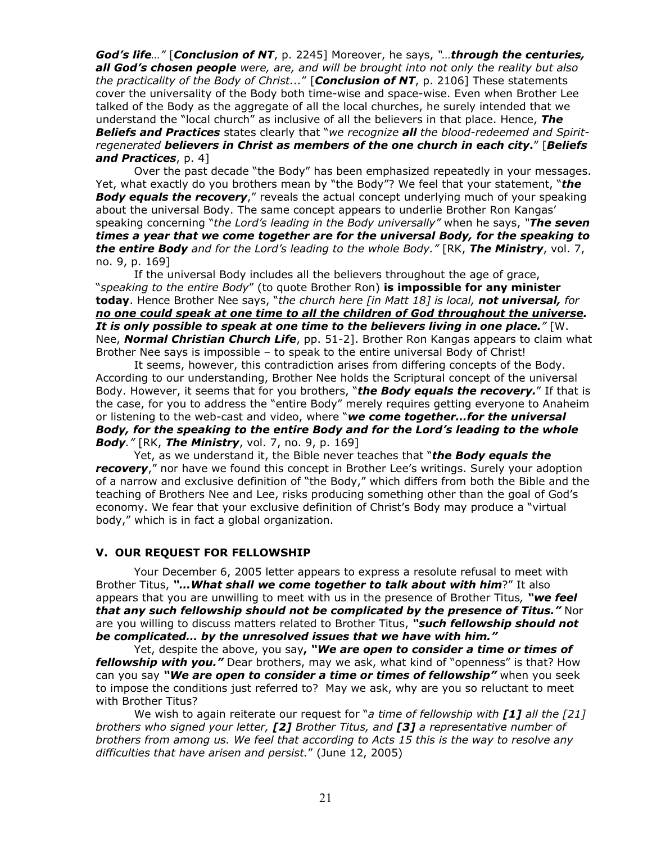*God's life…"* [*Conclusion of NT*, p. 2245] Moreover, he says, *"…through the centuries, all God's chosen people were, are, and will be brought into not only the reality but also the practicality of the Body of Christ...*" [*Conclusion of NT*, p. 2106] These statements cover the universality of the Body both time-wise and space-wise. Even when Brother Lee talked of the Body as the aggregate of all the local churches, he surely intended that we understand the "local church" as inclusive of all the believers in that place. Hence, *The Beliefs and Practices* states clearly that "*we recognize all the blood-redeemed and Spiritregenerated believers in Christ as members of the one church in each city***.**" [*Beliefs and Practices*, p. 4]

Over the past decade "the Body" has been emphasized repeatedly in your messages. Yet, what exactly do you brothers mean by "the Body"? We feel that your statement, "*the Body equals the recovery*," reveals the actual concept underlying much of your speaking about the universal Body. The same concept appears to underlie Brother Ron Kangas' speaking concerning "*the Lord's leading in the Body universally"* when he says, *"The seven times a year that we come together are for the universal Body, for the speaking to the entire Body and for the Lord's leading to the whole Body."* [RK, *The Ministry*, vol. 7, no. 9, p. 169]

If the universal Body includes all the believers throughout the age of grace, "*speaking to the entire Body*" (to quote Brother Ron) **is impossible for any minister today**. Hence Brother Nee says, "*the church here [in Matt 18] is local, not universal, for no one could speak at one time to all the children of God throughout the universe. It is only possible to speak at one time to the believers living in one place."* [W. Nee, *Normal Christian Church Life*, pp. 51-2]. Brother Ron Kangas appears to claim what Brother Nee says is impossible – to speak to the entire universal Body of Christ!

It seems, however, this contradiction arises from differing concepts of the Body. According to our understanding, Brother Nee holds the Scriptural concept of the universal Body. However, it seems that for you brothers, "*the Body equals the recovery.*" If that is the case, for you to address the "entire Body" merely requires getting everyone to Anaheim or listening to the web-cast and video, where "*we come together…for the universal Body, for the speaking to the entire Body and for the Lord's leading to the whole Body."* [RK, *The Ministry*, vol. 7, no. 9, p. 169]

Yet, as we understand it, the Bible never teaches that "*the Body equals the recovery*," nor have we found this concept in Brother Lee's writings. Surely your adoption of a narrow and exclusive definition of "the Body," which differs from both the Bible and the teaching of Brothers Nee and Lee, risks producing something other than the goal of God's economy. We fear that your exclusive definition of Christ's Body may produce a "virtual body," which is in fact a global organization.

### **V. OUR REQUEST FOR FELLOWSHIP**

Your December 6, 2005 letter appears to express a resolute refusal to meet with Brother Titus, *"…What shall we come together to talk about with him*?" It also appears that you are unwilling to meet with us in the presence of Brother Titus*, "we feel that any such fellowship should not be complicated by the presence of Titus."* Nor are you willing to discuss matters related to Brother Titus, *"such fellowship should not be complicated… by the unresolved issues that we have with him."*

Yet, despite the above, you say**,** *"We are open to consider a time or times of fellowship with you."* Dear brothers, may we ask, what kind of "openness" is that? How can you say *"We are open to consider a time or times of fellowship"* when you seek to impose the conditions just referred to? May we ask, why are you so reluctant to meet with Brother Titus?

We wish to again reiterate our request for "*a time of fellowship with [1] all the [21] brothers who signed your letter, [2] Brother Titus, and [3] a representative number of brothers from among us. We feel that according to Acts 15 this is the way to resolve any difficulties that have arisen and persist.*" (June 12, 2005)